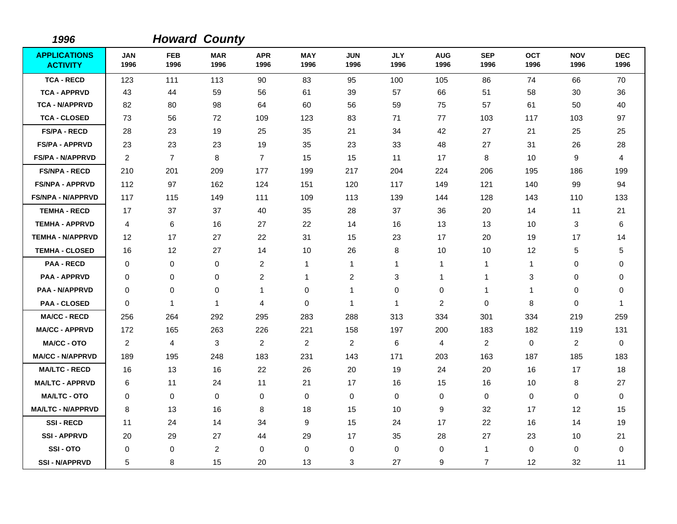| 1996                                   |                    |                    | <b>Howard County</b> |                    |                    |                    |                    |                    |                    |                    |                    |                    |
|----------------------------------------|--------------------|--------------------|----------------------|--------------------|--------------------|--------------------|--------------------|--------------------|--------------------|--------------------|--------------------|--------------------|
| <b>APPLICATIONS</b><br><b>ACTIVITY</b> | <b>JAN</b><br>1996 | <b>FEB</b><br>1996 | <b>MAR</b><br>1996   | <b>APR</b><br>1996 | <b>MAY</b><br>1996 | <b>JUN</b><br>1996 | <b>JLY</b><br>1996 | <b>AUG</b><br>1996 | <b>SEP</b><br>1996 | <b>OCT</b><br>1996 | <b>NOV</b><br>1996 | <b>DEC</b><br>1996 |
| <b>TCA - RECD</b>                      | 123                | 111                | 113                  | 90                 | 83                 | 95                 | 100                | 105                | 86                 | 74                 | 66                 | 70                 |
| <b>TCA - APPRVD</b>                    | 43                 | 44                 | 59                   | 56                 | 61                 | 39                 | 57                 | 66                 | 51                 | 58                 | 30                 | 36                 |
| <b>TCA - N/APPRVD</b>                  | 82                 | 80                 | 98                   | 64                 | 60                 | 56                 | 59                 | 75                 | 57                 | 61                 | 50                 | 40                 |
| <b>TCA - CLOSED</b>                    | 73                 | 56                 | 72                   | 109                | 123                | 83                 | 71                 | 77                 | 103                | 117                | 103                | 97                 |
| <b>FS/PA - RECD</b>                    | 28                 | 23                 | 19                   | 25                 | 35                 | 21                 | 34                 | 42                 | 27                 | 21                 | 25                 | 25                 |
| <b>FS/PA - APPRVD</b>                  | 23                 | 23                 | 23                   | 19                 | 35                 | 23                 | 33                 | 48                 | 27                 | 31                 | 26                 | 28                 |
| FS/PA - N/APPRVD                       | 2                  | $\overline{7}$     | 8                    | $\overline{7}$     | 15                 | 15                 | 11                 | 17                 | 8                  | 10                 | 9                  | 4                  |
| <b>FS/NPA - RECD</b>                   | 210                | 201                | 209                  | 177                | 199                | 217                | 204                | 224                | 206                | 195                | 186                | 199                |
| <b>FS/NPA - APPRVD</b>                 | 112                | 97                 | 162                  | 124                | 151                | 120                | 117                | 149                | 121                | 140                | 99                 | 94                 |
| <b>FS/NPA - N/APPRVD</b>               | 117                | 115                | 149                  | 111                | 109                | 113                | 139                | 144                | 128                | 143                | 110                | 133                |
| <b>TEMHA - RECD</b>                    | 17                 | 37                 | 37                   | 40                 | 35                 | 28                 | 37                 | 36                 | 20                 | 14                 | 11                 | 21                 |
| <b>TEMHA - APPRVD</b>                  | 4                  | 6                  | 16                   | 27                 | 22                 | 14                 | 16                 | 13                 | 13                 | 10                 | 3                  | 6                  |
| <b>TEMHA - N/APPRVD</b>                | 12                 | 17                 | 27                   | 22                 | 31                 | 15                 | 23                 | 17                 | 20                 | 19                 | 17                 | 14                 |
| <b>TEMHA - CLOSED</b>                  | 16                 | $12 \overline{ }$  | 27                   | 14                 | 10                 | 26                 | 8                  | 10                 | 10                 | 12                 | 5                  | 5                  |
| <b>PAA - RECD</b>                      | $\Omega$           | $\mathbf 0$        | $\mathbf 0$          | $\overline{c}$     | $\mathbf{1}$       | 1                  | 1                  | 1                  | $\mathbf 1$        | 1                  | 0                  | 0                  |
| <b>PAA - APPRVD</b>                    | $\mathbf 0$        | 0                  | $\mathbf 0$          | 2                  | $\mathbf{1}$       | $\overline{c}$     | 3                  | 1                  | $\mathbf 1$        | 3                  | 0                  | 0                  |
| <b>PAA - N/APPRVD</b>                  | $\mathbf 0$        | $\mathbf 0$        | $\mathbf 0$          | 1                  | $\mathbf 0$        | 1                  | $\mathbf 0$        | $\mathbf 0$        | $\overline{1}$     | 1                  | $\mathbf 0$        | 0                  |
| <b>PAA - CLOSED</b>                    | 0                  | $\mathbf{1}$       | $\mathbf{1}$         | 4                  | $\mathbf 0$        | 1                  | $\mathbf{1}$       | $\overline{c}$     | $\mathbf 0$        | 8                  | $\mathbf 0$        | 1                  |
| <b>MA/CC - RECD</b>                    | 256                | 264                | 292                  | 295                | 283                | 288                | 313                | 334                | 301                | 334                | 219                | 259                |
| <b>MA/CC - APPRVD</b>                  | 172                | 165                | 263                  | 226                | 221                | 158                | 197                | 200                | 183                | 182                | 119                | 131                |
| <b>MA/CC - OTO</b>                     | $\overline{2}$     | $\overline{4}$     | 3                    | $\overline{2}$     | $\overline{2}$     | $\overline{c}$     | 6                  | $\overline{4}$     | 2                  | $\mathbf 0$        | $\overline{c}$     | $\mathbf 0$        |
| <b>MA/CC - N/APPRVD</b>                | 189                | 195                | 248                  | 183                | 231                | 143                | 171                | 203                | 163                | 187                | 185                | 183                |
| <b>MA/LTC - RECD</b>                   | 16                 | 13                 | 16                   | 22                 | 26                 | 20                 | 19                 | 24                 | 20                 | 16                 | 17                 | 18                 |
| <b>MA/LTC - APPRVD</b>                 | 6                  | 11                 | 24                   | 11                 | 21                 | 17                 | 16                 | 15                 | 16                 | 10                 | 8                  | 27                 |
| <b>MA/LTC - OTO</b>                    | $\mathbf 0$        | 0                  | $\mathbf 0$          | $\mathbf 0$        | 0                  | $\mathbf 0$        | 0                  | 0                  | $\mathbf 0$        | 0                  | $\pmb{0}$          | $\mathbf 0$        |
| <b>MA/LTC - N/APPRVD</b>               | 8                  | 13                 | 16                   | 8                  | 18                 | 15                 | 10                 | 9                  | 32                 | 17                 | $12 \overline{ }$  | 15                 |
| <b>SSI-RECD</b>                        | 11                 | 24                 | 14                   | 34                 | 9                  | 15                 | 24                 | 17                 | 22                 | 16                 | 14                 | 19                 |
| <b>SSI-APPRVD</b>                      | 20                 | 29                 | 27                   | 44                 | 29                 | 17                 | 35                 | 28                 | 27                 | 23                 | 10                 | 21                 |
| SSI-OTO                                | 0                  | 0                  | $\overline{2}$       | $\mathbf 0$        | $\mathbf 0$        | 0                  | 0                  | 0                  | $\mathbf{1}$       | 0                  | 0                  | 0                  |
| <b>SSI - N/APPRVD</b>                  | 5                  | 8                  | 15                   | 20                 | 13                 | 3                  | 27                 | 9                  | 7                  | 12                 | 32                 | 11                 |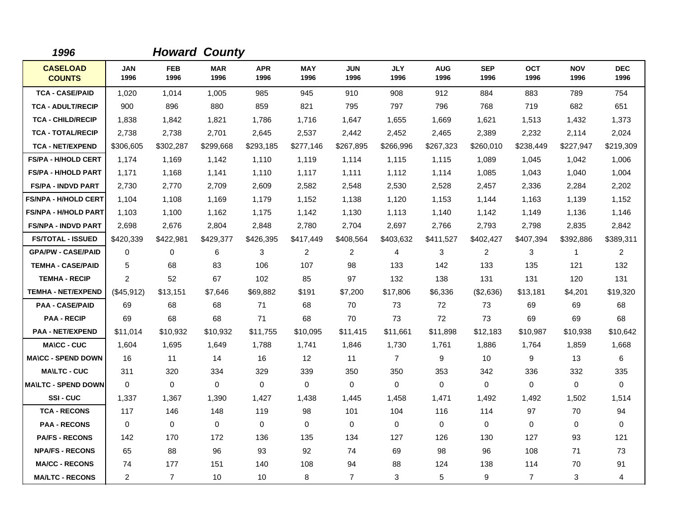| 1996                             |                    |                    | <b>Howard County</b> |                    |                    |                    |                    |                    |                    |                    |                    |                    |
|----------------------------------|--------------------|--------------------|----------------------|--------------------|--------------------|--------------------|--------------------|--------------------|--------------------|--------------------|--------------------|--------------------|
| <b>CASELOAD</b><br><b>COUNTS</b> | <b>JAN</b><br>1996 | <b>FEB</b><br>1996 | <b>MAR</b><br>1996   | <b>APR</b><br>1996 | <b>MAY</b><br>1996 | <b>JUN</b><br>1996 | <b>JLY</b><br>1996 | <b>AUG</b><br>1996 | <b>SEP</b><br>1996 | <b>OCT</b><br>1996 | <b>NOV</b><br>1996 | <b>DEC</b><br>1996 |
| <b>TCA - CASE/PAID</b>           | 1,020              | 1,014              | 1,005                | 985                | 945                | 910                | 908                | 912                | 884                | 883                | 789                | 754                |
| <b>TCA - ADULT/RECIP</b>         | 900                | 896                | 880                  | 859                | 821                | 795                | 797                | 796                | 768                | 719                | 682                | 651                |
| <b>TCA - CHILD/RECIP</b>         | 1,838              | 1,842              | 1,821                | 1,786              | 1,716              | 1,647              | 1,655              | 1,669              | 1,621              | 1,513              | 1,432              | 1,373              |
| <b>TCA - TOTAL/RECIP</b>         | 2,738              | 2,738              | 2,701                | 2,645              | 2,537              | 2,442              | 2,452              | 2,465              | 2,389              | 2,232              | 2,114              | 2,024              |
| <b>TCA - NET/EXPEND</b>          | \$306,605          | \$302,287          | \$299,668            | \$293,185          | \$277,146          | \$267,895          | \$266,996          | \$267,323          | \$260,010          | \$238,449          | \$227,947          | \$219,309          |
| <b>FS/PA - H/HOLD CERT</b>       | 1,174              | 1,169              | 1,142                | 1,110              | 1,119              | 1,114              | 1,115              | 1,115              | 1,089              | 1,045              | 1,042              | 1,006              |
| <b>FS/PA - H/HOLD PART</b>       | 1,171              | 1.168              | 1.141                | 1,110              | 1.117              | 1.111              | 1.112              | 1,114              | 1,085              | 1.043              | 1,040              | 1,004              |
| <b>FS/PA - INDVD PART</b>        | 2,730              | 2,770              | 2,709                | 2,609              | 2,582              | 2,548              | 2,530              | 2,528              | 2,457              | 2,336              | 2,284              | 2,202              |
| <b>FS/NPA - H/HOLD CERT</b>      | 1,104              | 1,108              | 1,169                | 1,179              | 1,152              | 1,138              | 1,120              | 1,153              | 1,144              | 1,163              | 1,139              | 1,152              |
| <b>FS/NPA - H/HOLD PART</b>      | 1,103              | 1,100              | 1,162                | 1,175              | 1,142              | 1.130              | 1,113              | 1,140              | 1,142              | 1,149              | 1,136              | 1,146              |
| <b>FS/NPA - INDVD PART</b>       | 2,698              | 2,676              | 2,804                | 2,848              | 2.780              | 2,704              | 2,697              | 2.766              | 2,793              | 2,798              | 2,835              | 2,842              |
| <b>FS/TOTAL - ISSUED</b>         | \$420,339          | \$422,981          | \$429,377            | \$426,395          | \$417,449          | \$408,564          | \$403,632          | \$411,527          | \$402,427          | \$407,394          | \$392,886          | \$389,311          |
| <b>GPA/PW - CASE/PAID</b>        | 0                  | 0                  | 6                    | 3                  | 2                  | $\overline{2}$     | 4                  | 3                  | 2                  | 3                  | $\mathbf{1}$       | $\overline{2}$     |
| <b>TEMHA - CASE/PAID</b>         | 5                  | 68                 | 83                   | 106                | 107                | 98                 | 133                | 142                | 133                | 135                | 121                | 132                |
| <b>TEMHA - RECIP</b>             | 2                  | 52                 | 67                   | 102                | 85                 | 97                 | 132                | 138                | 131                | 131                | 120                | 131                |
| <b>TEMHA - NET/EXPEND</b>        | (\$45,912)         | \$13,151           | \$7,646              | \$69,882           | \$191              | \$7,200            | \$17,806           | \$6,336            | (\$2,636)          | \$13,181           | \$4,201            | \$19,320           |
| <b>PAA - CASE/PAID</b>           | 69                 | 68                 | 68                   | 71                 | 68                 | 70                 | 73                 | 72                 | 73                 | 69                 | 69                 | 68                 |
| <b>PAA - RECIP</b>               | 69                 | 68                 | 68                   | 71                 | 68                 | 70                 | 73                 | 72                 | 73                 | 69                 | 69                 | 68                 |
| <b>PAA - NET/EXPEND</b>          | \$11,014           | \$10,932           | \$10,932             | \$11,755           | \$10,095           | \$11,415           | \$11,661           | \$11.898           | \$12,183           | \$10,987           | \$10,938           | \$10,642           |
| <b>MA\CC - CUC</b>               | 1.604              | 1,695              | 1,649                | 1.788              | 1,741              | 1,846              | 1,730              | 1,761              | 1,886              | 1,764              | 1,859              | 1,668              |
| <b>MA\CC - SPEND DOWN</b>        | 16                 | 11                 | 14                   | 16                 | 12                 | 11                 | $\overline{7}$     | 9                  | 10                 | 9                  | 13                 | 6                  |
| <b>MA\LTC - CUC</b>              | 311                | 320                | 334                  | 329                | 339                | 350                | 350                | 353                | 342                | 336                | 332                | 335                |
| <b>MA\LTC - SPEND DOWN</b>       | $\mathbf 0$        | $\Omega$           | $\mathbf 0$          | $\mathbf 0$        | $\mathbf 0$        | $\mathbf 0$        | $\Omega$           | 0                  | $\Omega$           | $\Omega$           | $\mathbf 0$        | $\Omega$           |
| <b>SSI-CUC</b>                   | 1,337              | 1,367              | 1,390                | 1,427              | 1,438              | 1,445              | 1,458              | 1,471              | 1,492              | 1,492              | 1,502              | 1,514              |
| <b>TCA - RECONS</b>              | 117                | 146                | 148                  | 119                | 98                 | 101                | 104                | 116                | 114                | 97                 | 70                 | 94                 |
| <b>PAA - RECONS</b>              | $\mathbf 0$        | $\mathbf 0$        | $\mathbf 0$          | $\mathbf 0$        | $\mathbf 0$        | $\mathbf 0$        | $\mathbf 0$        | $\mathbf 0$        | $\mathbf 0$        | 0                  | $\mathbf 0$        | $\mathbf 0$        |
| <b>PA/FS - RECONS</b>            | 142                | 170                | 172                  | 136                | 135                | 134                | 127                | 126                | 130                | 127                | 93                 | 121                |
| <b>NPA/FS - RECONS</b>           | 65                 | 88                 | 96                   | 93                 | 92                 | 74                 | 69                 | 98                 | 96                 | 108                | 71                 | 73                 |
| <b>MA/CC - RECONS</b>            | 74                 | 177                | 151                  | 140                | 108                | 94                 | 88                 | 124                | 138                | 114                | 70                 | 91                 |
| <b>MA/LTC - RECONS</b>           | $\overline{c}$     | $\overline{7}$     | 10                   | 10                 | 8                  | $\overline{7}$     | 3                  | 5                  | 9                  | $\overline{7}$     | 3                  | 4                  |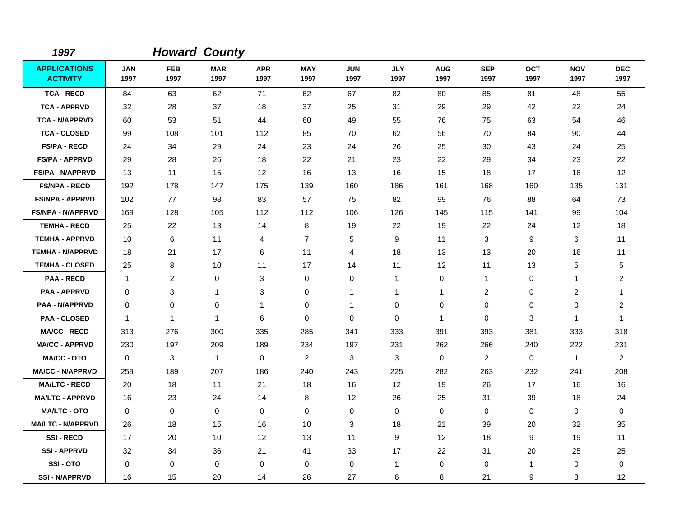| 1997                                   |                    |                    | <b>Howard County</b> |                    |                    |                    |                    |                    |                    |                    |                    |                    |
|----------------------------------------|--------------------|--------------------|----------------------|--------------------|--------------------|--------------------|--------------------|--------------------|--------------------|--------------------|--------------------|--------------------|
| <b>APPLICATIONS</b><br><b>ACTIVITY</b> | <b>JAN</b><br>1997 | <b>FEB</b><br>1997 | <b>MAR</b><br>1997   | <b>APR</b><br>1997 | <b>MAY</b><br>1997 | <b>JUN</b><br>1997 | <b>JLY</b><br>1997 | <b>AUG</b><br>1997 | <b>SEP</b><br>1997 | <b>OCT</b><br>1997 | <b>NOV</b><br>1997 | <b>DEC</b><br>1997 |
| <b>TCA - RECD</b>                      | 84                 | 63                 | 62                   | 71                 | 62                 | 67                 | 82                 | 80                 | 85                 | 81                 | 48                 | 55                 |
| <b>TCA - APPRVD</b>                    | 32                 | 28                 | 37                   | 18                 | 37                 | 25                 | 31                 | 29                 | 29                 | 42                 | 22                 | 24                 |
| <b>TCA - N/APPRVD</b>                  | 60                 | 53                 | 51                   | 44                 | 60                 | 49                 | 55                 | 76                 | 75                 | 63                 | 54                 | 46                 |
| <b>TCA - CLOSED</b>                    | 99                 | 108                | 101                  | 112                | 85                 | 70                 | 62                 | 56                 | 70                 | 84                 | 90                 | 44                 |
| <b>FS/PA - RECD</b>                    | 24                 | 34                 | 29                   | 24                 | 23                 | 24                 | 26                 | 25                 | 30                 | 43                 | 24                 | 25                 |
| <b>FS/PA - APPRVD</b>                  | 29                 | 28                 | 26                   | 18                 | 22                 | 21                 | 23                 | 22                 | 29                 | 34                 | 23                 | 22                 |
| <b>FS/PA - N/APPRVD</b>                | 13                 | 11                 | 15                   | 12                 | 16                 | 13                 | 16                 | 15                 | 18                 | 17                 | 16                 | 12                 |
| <b>FS/NPA - RECD</b>                   | 192                | 178                | 147                  | 175                | 139                | 160                | 186                | 161                | 168                | 160                | 135                | 131                |
| <b>FS/NPA - APPRVD</b>                 | 102                | 77                 | 98                   | 83                 | 57                 | 75                 | 82                 | 99                 | 76                 | 88                 | 64                 | 73                 |
| <b>FS/NPA - N/APPRVD</b>               | 169                | 128                | 105                  | 112                | 112                | 106                | 126                | 145                | 115                | 141                | 99                 | 104                |
| <b>TEMHA - RECD</b>                    | 25                 | 22                 | 13                   | 14                 | 8                  | 19                 | 22                 | 19                 | 22                 | 24                 | 12                 | 18                 |
| <b>TEMHA - APPRVD</b>                  | 10                 | 6                  | 11                   | $\overline{4}$     | $\overline{7}$     | 5                  | 9                  | 11                 | 3                  | 9                  | 6                  | 11                 |
| <b>TEMHA - N/APPRVD</b>                | 18                 | 21                 | 17                   | 6                  | 11                 | 4                  | 18                 | 13                 | 13                 | 20                 | 16                 | 11                 |
| <b>TEMHA - CLOSED</b>                  | 25                 | 8                  | 10                   | 11                 | 17                 | 14                 | 11                 | 12                 | 11                 | 13                 | 5                  | 5                  |
| <b>PAA - RECD</b>                      | -1                 | 2                  | 0                    | 3                  | 0                  | 0                  | $\mathbf{1}$       | 0                  | $\mathbf{1}$       | 0                  | 1                  | $\overline{c}$     |
| <b>PAA - APPRVD</b>                    | $\mathbf 0$        | 3                  | 1                    | 3                  | 0                  | 1                  | 1                  | $\mathbf{1}$       | $\overline{2}$     | 0                  | 2                  | 1                  |
| <b>PAA - N/APPRVD</b>                  | $\mathbf 0$        | $\mathbf 0$        | 0                    | $\mathbf{1}$       | 0                  | $\mathbf 1$        | 0                  | 0                  | $\mathbf 0$        | 0                  | $\mathbf 0$        | $\overline{c}$     |
| <b>PAA - CLOSED</b>                    | $\mathbf 1$        | $\mathbf{1}$       | $\mathbf 1$          | 6                  | 0                  | $\Omega$           | 0                  | $\mathbf{1}$       | $\Omega$           | 3                  | $\mathbf{1}$       | 1                  |
| <b>MA/CC - RECD</b>                    | 313                | 276                | 300                  | 335                | 285                | 341                | 333                | 391                | 393                | 381                | 333                | 318                |
| <b>MA/CC - APPRVD</b>                  | 230                | 197                | 209                  | 189                | 234                | 197                | 231                | 262                | 266                | 240                | 222                | 231                |
| <b>MA/CC - OTO</b>                     | $\mathbf 0$        | 3                  | $\mathbf{1}$         | $\mathbf 0$        | $\overline{2}$     | 3                  | 3                  | 0                  | 2                  | $\mathbf 0$        | $\mathbf{1}$       | $\overline{2}$     |
| <b>MA/CC - N/APPRVD</b>                | 259                | 189                | 207                  | 186                | 240                | 243                | 225                | 282                | 263                | 232                | 241                | 208                |
| <b>MA/LTC - RECD</b>                   | 20                 | 18                 | 11                   | 21                 | 18                 | 16                 | 12                 | 19                 | 26                 | 17                 | 16                 | 16                 |
| <b>MA/LTC - APPRVD</b>                 | 16                 | 23                 | 24                   | 14                 | 8                  | 12                 | 26                 | 25                 | 31                 | 39                 | 18                 | 24                 |
| <b>MA/LTC - OTO</b>                    | $\mathbf 0$        | 0                  | 0                    | 0                  | 0                  | 0                  | 0                  | 0                  | $\mathbf 0$        | 0                  | 0                  | 0                  |
| <b>MA/LTC - N/APPRVD</b>               | 26                 | 18                 | 15                   | 16                 | 10                 | 3                  | 18                 | 21                 | 39                 | 20                 | 32                 | 35                 |
| <b>SSI-RECD</b>                        | 17                 | 20                 | 10                   | $12 \overline{ }$  | 13                 | 11                 | 9                  | $12 \overline{ }$  | 18                 | 9                  | 19                 | 11                 |
| <b>SSI-APPRVD</b>                      | 32                 | 34                 | 36                   | 21                 | 41                 | 33                 | 17                 | 22                 | 31                 | 20                 | 25                 | 25                 |
| SSI-OTO                                | $\mathbf 0$        | 0                  | 0                    | $\mathbf 0$        | 0                  | $\mathbf 0$        | 1                  | 0                  | $\mathbf 0$        | $\mathbf{1}$       | $\mathbf 0$        | 0                  |
| <b>SSI-N/APPRVD</b>                    | 16                 | 15                 | 20                   | 14                 | 26                 | 27                 | 6                  | 8                  | 21                 | 9                  | 8                  | 12                 |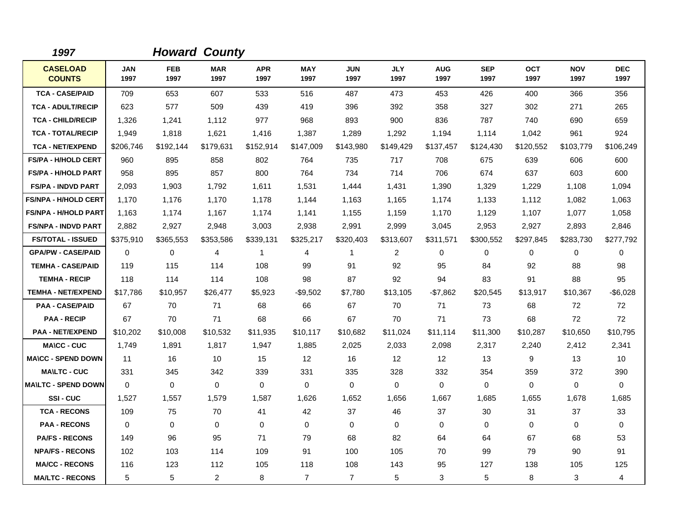| 1997                             |                    |             | <b>Howard County</b> |                    |                    |                    |                    |                    |                    |                    |                    |                    |
|----------------------------------|--------------------|-------------|----------------------|--------------------|--------------------|--------------------|--------------------|--------------------|--------------------|--------------------|--------------------|--------------------|
| <b>CASELOAD</b><br><b>COUNTS</b> | <b>JAN</b><br>1997 | FEB<br>1997 | <b>MAR</b><br>1997   | <b>APR</b><br>1997 | <b>MAY</b><br>1997 | <b>JUN</b><br>1997 | <b>JLY</b><br>1997 | <b>AUG</b><br>1997 | <b>SEP</b><br>1997 | <b>OCT</b><br>1997 | <b>NOV</b><br>1997 | <b>DEC</b><br>1997 |
| <b>TCA - CASE/PAID</b>           | 709                | 653         | 607                  | 533                | 516                | 487                | 473                | 453                | 426                | 400                | 366                | 356                |
| <b>TCA - ADULT/RECIP</b>         | 623                | 577         | 509                  | 439                | 419                | 396                | 392                | 358                | 327                | 302                | 271                | 265                |
| <b>TCA - CHILD/RECIP</b>         | 1,326              | 1,241       | 1,112                | 977                | 968                | 893                | 900                | 836                | 787                | 740                | 690                | 659                |
| <b>TCA - TOTAL/RECIP</b>         | 1,949              | 1,818       | 1,621                | 1,416              | 1,387              | 1,289              | 1,292              | 1,194              | 1,114              | 1,042              | 961                | 924                |
| <b>TCA - NET/EXPEND</b>          | \$206,746          | \$192,144   | \$179,631            | \$152,914          | \$147,009          | \$143,980          | \$149,429          | \$137,457          | \$124,430          | \$120,552          | \$103,779          | \$106,249          |
| FS/PA - H/HOLD CERT              | 960                | 895         | 858                  | 802                | 764                | 735                | 717                | 708                | 675                | 639                | 606                | 600                |
| <b>FS/PA - H/HOLD PART</b>       | 958                | 895         | 857                  | 800                | 764                | 734                | 714                | 706                | 674                | 637                | 603                | 600                |
| <b>FS/PA - INDVD PART</b>        | 2,093              | 1,903       | 1,792                | 1,611              | 1,531              | 1,444              | 1,431              | 1,390              | 1,329              | 1,229              | 1,108              | 1,094              |
| <b>FS/NPA - H/HOLD CERT</b>      | 1,170              | 1,176       | 1,170                | 1,178              | 1,144              | 1,163              | 1,165              | 1,174              | 1,133              | 1,112              | 1,082              | 1,063              |
| <b>FS/NPA - H/HOLD PART</b>      | 1,163              | 1,174       | 1,167                | 1,174              | 1,141              | 1,155              | 1,159              | 1,170              | 1,129              | 1,107              | 1,077              | 1,058              |
| <b>FS/NPA - INDVD PART</b>       | 2,882              | 2,927       | 2,948                | 3,003              | 2,938              | 2,991              | 2,999              | 3,045              | 2,953              | 2,927              | 2,893              | 2,846              |
| <b>FS/TOTAL - ISSUED</b>         | \$375,910          | \$365,553   | \$353,586            | \$339,131          | \$325,217          | \$320,403          | \$313,607          | \$311,571          | \$300,552          | \$297,845          | \$283,730          | \$277,792          |
| <b>GPA/PW - CASE/PAID</b>        | $\mathbf 0$        | 0           | 4                    | 1                  | 4                  | $\mathbf{1}$       | $\overline{2}$     | 0                  | 0                  | 0                  | 0                  | 0                  |
| <b>TEMHA - CASE/PAID</b>         | 119                | 115         | 114                  | 108                | 99                 | 91                 | 92                 | 95                 | 84                 | 92                 | 88                 | 98                 |
| <b>TEMHA - RECIP</b>             | 118                | 114         | 114                  | 108                | 98                 | 87                 | 92                 | 94                 | 83                 | 91                 | 88                 | 95                 |
| <b>TEMHA - NET/EXPEND</b>        | \$17,786           | \$10,957    | \$26,477             | \$5,923            | $-$9,502$          | \$7,780            | \$13,105           | $-$7,862$          | \$20,545           | \$13,917           | \$10,367           | $-$ \$6,028        |
| <b>PAA - CASE/PAID</b>           | 67                 | 70          | 71                   | 68                 | 66                 | 67                 | 70                 | 71                 | 73                 | 68                 | 72                 | 72                 |
| <b>PAA - RECIP</b>               | 67                 | 70          | 71                   | 68                 | 66                 | 67                 | 70                 | 71                 | 73                 | 68                 | 72                 | 72                 |
| <b>PAA - NET/EXPEND</b>          | \$10,202           | \$10,008    | \$10,532             | \$11,935           | \$10,117           | \$10,682           | \$11,024           | \$11,114           | \$11,300           | \$10,287           | \$10,650           | \$10,795           |
| <b>MA\CC - CUC</b>               | 1,749              | 1,891       | 1,817                | 1,947              | 1,885              | 2,025              | 2,033              | 2,098              | 2,317              | 2,240              | 2,412              | 2,341              |
| <b>MA\CC - SPEND DOWN</b>        | 11                 | 16          | 10                   | 15                 | 12                 | 16                 | $12 \overline{ }$  | 12                 | 13                 | 9                  | 13                 | 10                 |
| <b>MAILTC - CUC</b>              | 331                | 345         | 342                  | 339                | 331                | 335                | 328                | 332                | 354                | 359                | 372                | 390                |
| <b>MAILTC - SPEND DOWN</b>       | $\Omega$           | $\Omega$    | $\mathbf 0$          | $\Omega$           | 0                  | $\Omega$           | $\Omega$           | 0                  | $\Omega$           | $\Omega$           | $\mathbf 0$        | $\Omega$           |
| SSI-CUC                          | 1,527              | 1,557       | 1,579                | 1,587              | 1,626              | 1,652              | 1,656              | 1,667              | 1,685              | 1,655              | 1,678              | 1,685              |
| <b>TCA - RECONS</b>              | 109                | 75          | 70                   | 41                 | 42                 | 37                 | 46                 | 37                 | 30                 | 31                 | 37                 | 33                 |
| <b>PAA - RECONS</b>              | $\Omega$           | 0           | $\Omega$             | $\Omega$           | $\mathbf 0$        | $\Omega$           | $\Omega$           | 0                  | $\Omega$           | $\Omega$           | $\mathbf 0$        | $\mathbf 0$        |
| <b>PA/FS - RECONS</b>            | 149                | 96          | 95                   | 71                 | 79                 | 68                 | 82                 | 64                 | 64                 | 67                 | 68                 | 53                 |
| <b>NPA/FS - RECONS</b>           | 102                | 103         | 114                  | 109                | 91                 | 100                | 105                | 70                 | 99                 | 79                 | 90                 | 91                 |
| <b>MA/CC - RECONS</b>            | 116                | 123         | 112                  | 105                | 118                | 108                | 143                | 95                 | 127                | 138                | 105                | 125                |
| <b>MA/LTC - RECONS</b>           | 5                  | 5           | $\overline{2}$       | 8                  | $\overline{7}$     | $\overline{7}$     | 5                  | 3                  | 5                  | 8                  | 3                  | 4                  |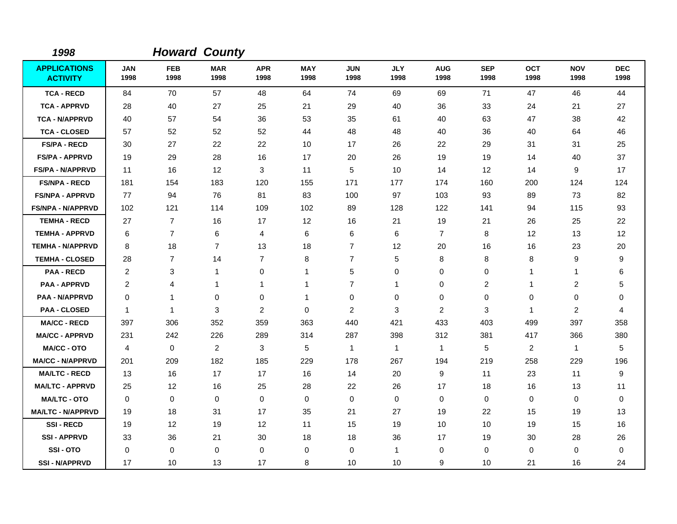| 1998                                   |                    |                    | <b>Howard County</b> |                    |                    |                    |                    |                    |                    |                    |                    |                    |
|----------------------------------------|--------------------|--------------------|----------------------|--------------------|--------------------|--------------------|--------------------|--------------------|--------------------|--------------------|--------------------|--------------------|
| <b>APPLICATIONS</b><br><b>ACTIVITY</b> | <b>JAN</b><br>1998 | <b>FEB</b><br>1998 | <b>MAR</b><br>1998   | <b>APR</b><br>1998 | <b>MAY</b><br>1998 | <b>JUN</b><br>1998 | <b>JLY</b><br>1998 | <b>AUG</b><br>1998 | <b>SEP</b><br>1998 | <b>OCT</b><br>1998 | <b>NOV</b><br>1998 | <b>DEC</b><br>1998 |
| <b>TCA - RECD</b>                      | 84                 | 70                 | 57                   | 48                 | 64                 | 74                 | 69                 | 69                 | 71                 | 47                 | 46                 | 44                 |
| <b>TCA - APPRVD</b>                    | 28                 | 40                 | 27                   | 25                 | 21                 | 29                 | 40                 | 36                 | 33                 | 24                 | 21                 | 27                 |
| <b>TCA - N/APPRVD</b>                  | 40                 | 57                 | 54                   | 36                 | 53                 | 35                 | 61                 | 40                 | 63                 | 47                 | 38                 | 42                 |
| <b>TCA - CLOSED</b>                    | 57                 | 52                 | 52                   | 52                 | 44                 | 48                 | 48                 | 40                 | 36                 | 40                 | 64                 | 46                 |
| <b>FS/PA - RECD</b>                    | 30                 | 27                 | 22                   | 22                 | 10                 | 17                 | 26                 | 22                 | 29                 | 31                 | 31                 | 25                 |
| <b>FS/PA - APPRVD</b>                  | 19                 | 29                 | 28                   | 16                 | 17                 | 20                 | 26                 | 19                 | 19                 | 14                 | 40                 | 37                 |
| <b>FS/PA - N/APPRVD</b>                | 11                 | 16                 | 12                   | 3                  | 11                 | 5                  | 10                 | 14                 | 12                 | 14                 | 9                  | 17                 |
| <b>FS/NPA - RECD</b>                   | 181                | 154                | 183                  | 120                | 155                | 171                | 177                | 174                | 160                | 200                | 124                | 124                |
| <b>FS/NPA - APPRVD</b>                 | 77                 | 94                 | 76                   | 81                 | 83                 | 100                | 97                 | 103                | 93                 | 89                 | 73                 | 82                 |
| <b>FS/NPA - N/APPRVD</b>               | 102                | 121                | 114                  | 109                | 102                | 89                 | 128                | 122                | 141                | 94                 | 115                | 93                 |
| <b>TEMHA - RECD</b>                    | 27                 | $\overline{7}$     | 16                   | 17                 | 12                 | 16                 | 21                 | 19                 | 21                 | 26                 | 25                 | 22                 |
| <b>TEMHA - APPRVD</b>                  | 6                  | $\overline{7}$     | 6                    | $\overline{4}$     | 6                  | 6                  | 6                  | $\overline{7}$     | 8                  | 12                 | 13                 | 12                 |
| <b>TEMHA - N/APPRVD</b>                | 8                  | 18                 | $\overline{7}$       | 13                 | 18                 | $\overline{7}$     | 12                 | 20                 | 16                 | 16                 | 23                 | 20                 |
| <b>TEMHA - CLOSED</b>                  | 28                 | $\overline{7}$     | 14                   | $\overline{7}$     | 8                  | $\overline{7}$     | 5                  | 8                  | 8                  | 8                  | 9                  | 9                  |
| <b>PAA - RECD</b>                      | $\overline{2}$     | 3                  | $\mathbf{1}$         | 0                  | 1                  | 5                  | 0                  | 0                  | 0                  | 1                  | $\mathbf{1}$       | 6                  |
| <b>PAA - APPRVD</b>                    | 2                  | 4                  | 1                    | $\mathbf{1}$       | 1                  | $\overline{7}$     | 1                  | 0                  | 2                  | 1                  | $\overline{2}$     | 5                  |
| <b>PAA - N/APPRVD</b>                  | 0                  | 1                  | 0                    | 0                  | 1                  | 0                  | 0                  | 0                  | $\mathbf 0$        | 0                  | 0                  | 0                  |
| <b>PAA - CLOSED</b>                    | $\mathbf{1}$       | $\mathbf 1$        | 3                    | $\overline{2}$     | 0                  | $\overline{c}$     | 3                  | 2                  | 3                  | $\mathbf{1}$       | $\overline{2}$     | 4                  |
| <b>MA/CC - RECD</b>                    | 397                | 306                | 352                  | 359                | 363                | 440                | 421                | 433                | 403                | 499                | 397                | 358                |
| <b>MA/CC - APPRVD</b>                  | 231                | 242                | 226                  | 289                | 314                | 287                | 398                | 312                | 381                | 417                | 366                | 380                |
| <b>MA/CC - OTO</b>                     | 4                  | 0                  | $\overline{c}$       | 3                  | 5                  | $\mathbf{1}$       | $\mathbf{1}$       | $\mathbf{1}$       | 5                  | $\overline{c}$     | $\mathbf{1}$       | 5                  |
| <b>MA/CC - N/APPRVD</b>                | 201                | 209                | 182                  | 185                | 229                | 178                | 267                | 194                | 219                | 258                | 229                | 196                |
| <b>MA/LTC - RECD</b>                   | 13                 | 16                 | 17                   | 17                 | 16                 | 14                 | 20                 | 9                  | 11                 | 23                 | 11                 | 9                  |
| <b>MA/LTC - APPRVD</b>                 | 25                 | 12                 | 16                   | 25                 | 28                 | 22                 | 26                 | 17                 | 18                 | 16                 | 13                 | 11                 |
| <b>MA/LTC - OTO</b>                    | 0                  | 0                  | 0                    | 0                  | 0                  | $\mathbf 0$        | 0                  | 0                  | 0                  | 0                  | 0                  | 0                  |
| <b>MA/LTC - N/APPRVD</b>               | 19                 | 18                 | 31                   | 17                 | 35                 | 21                 | 27                 | 19                 | 22                 | 15                 | 19                 | 13                 |
| <b>SSI-RECD</b>                        | 19                 | 12                 | 19                   | 12                 | 11                 | 15                 | 19                 | 10                 | 10                 | 19                 | 15                 | 16                 |
| <b>SSI-APPRVD</b>                      | 33                 | 36                 | 21                   | 30                 | 18                 | 18                 | 36                 | 17                 | 19                 | 30                 | 28                 | 26                 |
| SSI-OTO                                | 0                  | 0                  | 0                    | $\mathbf 0$        | 0                  | $\mathbf 0$        | 1                  | 0                  | $\mathbf 0$        | 0                  | 0                  | 0                  |
| <b>SSI - N/APPRVD</b>                  | 17                 | 10                 | 13                   | 17                 | 8                  | 10                 | 10                 | 9                  | 10                 | 21                 | 16                 | 24                 |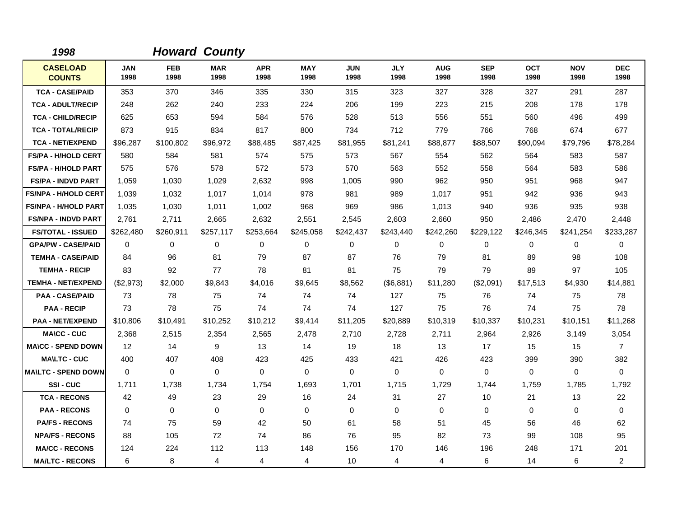| 1998                             |                    |                    | <b>Howard County</b> |                    |                    |                    |                    |                    |                    |                    |                    |                    |
|----------------------------------|--------------------|--------------------|----------------------|--------------------|--------------------|--------------------|--------------------|--------------------|--------------------|--------------------|--------------------|--------------------|
| <b>CASELOAD</b><br><b>COUNTS</b> | <b>JAN</b><br>1998 | <b>FEB</b><br>1998 | <b>MAR</b><br>1998   | <b>APR</b><br>1998 | <b>MAY</b><br>1998 | <b>JUN</b><br>1998 | <b>JLY</b><br>1998 | <b>AUG</b><br>1998 | <b>SEP</b><br>1998 | <b>OCT</b><br>1998 | <b>NOV</b><br>1998 | <b>DEC</b><br>1998 |
| <b>TCA - CASE/PAID</b>           | 353                | 370                | 346                  | 335                | 330                | 315                | 323                | 327                | 328                | 327                | 291                | 287                |
| <b>TCA - ADULT/RECIP</b>         | 248                | 262                | 240                  | 233                | 224                | 206                | 199                | 223                | 215                | 208                | 178                | 178                |
| <b>TCA - CHILD/RECIP</b>         | 625                | 653                | 594                  | 584                | 576                | 528                | 513                | 556                | 551                | 560                | 496                | 499                |
| <b>TCA - TOTAL/RECIP</b>         | 873                | 915                | 834                  | 817                | 800                | 734                | 712                | 779                | 766                | 768                | 674                | 677                |
| <b>TCA - NET/EXPEND</b>          | \$96,287           | \$100,802          | \$96,972             | \$88,485           | \$87,425           | \$81,955           | \$81,241           | \$88,877           | \$88,507           | \$90,094           | \$79,796           | \$78,284           |
| <b>FS/PA - H/HOLD CERT</b>       | 580                | 584                | 581                  | 574                | 575                | 573                | 567                | 554                | 562                | 564                | 583                | 587                |
| <b>FS/PA - H/HOLD PART</b>       | 575                | 576                | 578                  | 572                | 573                | 570                | 563                | 552                | 558                | 564                | 583                | 586                |
| <b>FS/PA - INDVD PART</b>        | 1,059              | 1,030              | 1,029                | 2,632              | 998                | 1,005              | 990                | 962                | 950                | 951                | 968                | 947                |
| <b>FS/NPA - H/HOLD CERT</b>      | 1,039              | 1,032              | 1,017                | 1,014              | 978                | 981                | 989                | 1,017              | 951                | 942                | 936                | 943                |
| <b>FS/NPA - H/HOLD PART</b>      | 1,035              | 1,030              | 1,011                | 1,002              | 968                | 969                | 986                | 1,013              | 940                | 936                | 935                | 938                |
| <b>FS/NPA - INDVD PART</b>       | 2,761              | 2,711              | 2,665                | 2,632              | 2,551              | 2,545              | 2,603              | 2,660              | 950                | 2,486              | 2,470              | 2,448              |
| <b>FS/TOTAL - ISSUED</b>         | \$262,480          | \$260,911          | \$257,117            | \$253,664          | \$245,058          | \$242,437          | \$243,440          | \$242,260          | \$229,122          | \$246,345          | \$241,254          | \$233,287          |
| <b>GPA/PW - CASE/PAID</b>        | 0                  | 0                  | 0                    | 0                  | 0                  | 0                  | 0                  | 0                  | 0                  | 0                  | 0                  | 0                  |
| <b>TEMHA - CASE/PAID</b>         | 84                 | 96                 | 81                   | 79                 | 87                 | 87                 | 76                 | 79                 | 81                 | 89                 | 98                 | 108                |
| <b>TEMHA - RECIP</b>             | 83                 | 92                 | 77                   | 78                 | 81                 | 81                 | 75                 | 79                 | 79                 | 89                 | 97                 | 105                |
| <b>TEMHA - NET/EXPEND</b>        | (\$2,973)          | \$2,000            | \$9,843              | \$4,016            | \$9,645            | \$8,562            | (\$6,881)          | \$11,280           | (\$2,091)          | \$17,513           | \$4,930            | \$14,881           |
| <b>PAA - CASE/PAID</b>           | 73                 | 78                 | 75                   | 74                 | 74                 | 74                 | 127                | 75                 | 76                 | 74                 | 75                 | 78                 |
| <b>PAA - RECIP</b>               | 73                 | 78                 | 75                   | 74                 | 74                 | 74                 | 127                | 75                 | 76                 | 74                 | 75                 | 78                 |
| <b>PAA - NET/EXPEND</b>          | \$10,806           | \$10,491           | \$10,252             | \$10,212           | \$9,414            | \$11,205           | \$20,889           | \$10,319           | \$10,337           | \$10,231           | \$10,151           | \$11,268           |
| <b>MA\CC - CUC</b>               | 2,368              | 2,515              | 2,354                | 2,565              | 2,478              | 2,710              | 2,728              | 2,711              | 2,964              | 2,926              | 3,149              | 3,054              |
| <b>MA\CC - SPEND DOWN</b>        | 12                 | 14                 | 9                    | 13                 | 14                 | 19                 | 18                 | 13                 | 17                 | 15                 | 15                 | $\overline{7}$     |
| <b>MA\LTC - CUC</b>              | 400                | 407                | 408                  | 423                | 425                | 433                | 421                | 426                | 423                | 399                | 390                | 382                |
| <b>MAILTC - SPEND DOWN</b>       | $\Omega$           | $\Omega$           | $\mathbf 0$          | $\Omega$           | $\Omega$           | $\Omega$           | $\Omega$           | 0                  | $\Omega$           | $\Omega$           | $\mathbf 0$        | $\Omega$           |
| SSI-CUC                          | 1.711              | 1,738              | 1,734                | 1,754              | 1,693              | 1,701              | 1,715              | 1,729              | 1,744              | 1,759              | 1,785              | 1,792              |
| <b>TCA - RECONS</b>              | 42                 | 49                 | 23                   | 29                 | 16                 | 24                 | 31                 | 27                 | 10                 | 21                 | 13                 | 22                 |
| <b>PAA - RECONS</b>              | $\Omega$           | 0                  | $\mathbf 0$          | $\mathbf 0$        | 0                  | $\mathbf 0$        | 0                  | 0                  | $\mathbf 0$        | 0                  | 0                  | 0                  |
| <b>PA/FS - RECONS</b>            | 74                 | 75                 | 59                   | 42                 | 50                 | 61                 | 58                 | 51                 | 45                 | 56                 | 46                 | 62                 |
| <b>NPA/FS - RECONS</b>           | 88                 | 105                | 72                   | 74                 | 86                 | 76                 | 95                 | 82                 | 73                 | 99                 | 108                | 95                 |
| <b>MA/CC - RECONS</b>            | 124                | 224                | 112                  | 113                | 148                | 156                | 170                | 146                | 196                | 248                | 171                | 201                |
| <b>MA/LTC - RECONS</b>           | 6                  | 8                  | 4                    | 4                  | 4                  | 10                 | 4                  | 4                  | 6                  | 14                 | 6                  | $\overline{2}$     |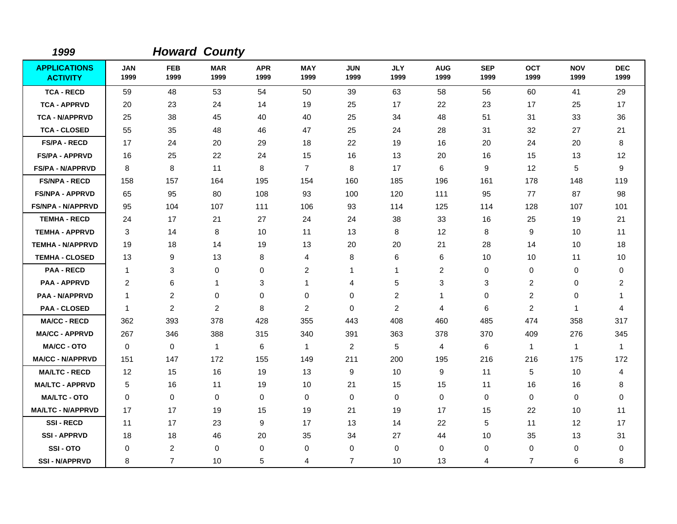| 1999                                   |                    |                    | <b>Howard County</b> |                    |                    |                    |                    |                    |                    |                    |                    |                    |
|----------------------------------------|--------------------|--------------------|----------------------|--------------------|--------------------|--------------------|--------------------|--------------------|--------------------|--------------------|--------------------|--------------------|
| <b>APPLICATIONS</b><br><b>ACTIVITY</b> | <b>JAN</b><br>1999 | <b>FEB</b><br>1999 | <b>MAR</b><br>1999   | <b>APR</b><br>1999 | <b>MAY</b><br>1999 | <b>JUN</b><br>1999 | <b>JLY</b><br>1999 | <b>AUG</b><br>1999 | <b>SEP</b><br>1999 | <b>OCT</b><br>1999 | <b>NOV</b><br>1999 | <b>DEC</b><br>1999 |
| <b>TCA - RECD</b>                      | 59                 | 48                 | 53                   | 54                 | 50                 | 39                 | 63                 | 58                 | 56                 | 60                 | 41                 | 29                 |
| <b>TCA - APPRVD</b>                    | 20                 | 23                 | 24                   | 14                 | 19                 | 25                 | 17                 | 22                 | 23                 | 17                 | 25                 | 17                 |
| <b>TCA - N/APPRVD</b>                  | 25                 | 38                 | 45                   | 40                 | 40                 | 25                 | 34                 | 48                 | 51                 | 31                 | 33                 | 36                 |
| <b>TCA - CLOSED</b>                    | 55                 | 35                 | 48                   | 46                 | 47                 | 25                 | 24                 | 28                 | 31                 | 32                 | 27                 | 21                 |
| <b>FS/PA - RECD</b>                    | 17                 | 24                 | 20                   | 29                 | 18                 | 22                 | 19                 | 16                 | 20                 | 24                 | 20                 | 8                  |
| <b>FS/PA - APPRVD</b>                  | 16                 | 25                 | 22                   | 24                 | 15                 | 16                 | 13                 | 20                 | 16                 | 15                 | 13                 | 12                 |
| <b>FS/PA - N/APPRVD</b>                | 8                  | 8                  | 11                   | 8                  | $\overline{7}$     | 8                  | 17                 | 6                  | 9                  | 12                 | 5                  | 9                  |
| <b>FS/NPA - RECD</b>                   | 158                | 157                | 164                  | 195                | 154                | 160                | 185                | 196                | 161                | 178                | 148                | 119                |
| <b>FS/NPA - APPRVD</b>                 | 65                 | 95                 | 80                   | 108                | 93                 | 100                | 120                | 111                | 95                 | 77                 | 87                 | 98                 |
| <b>FS/NPA - N/APPRVD</b>               | 95                 | 104                | 107                  | 111                | 106                | 93                 | 114                | 125                | 114                | 128                | 107                | 101                |
| <b>TEMHA - RECD</b>                    | 24                 | 17                 | 21                   | 27                 | 24                 | 24                 | 38                 | 33                 | 16                 | 25                 | 19                 | 21                 |
| <b>TEMHA - APPRVD</b>                  | 3                  | 14                 | 8                    | 10                 | 11                 | 13                 | 8                  | 12                 | 8                  | 9                  | 10                 | 11                 |
| <b>TEMHA - N/APPRVD</b>                | 19                 | 18                 | 14                   | 19                 | 13                 | 20                 | 20                 | 21                 | 28                 | 14                 | 10                 | 18                 |
| <b>TEMHA - CLOSED</b>                  | 13                 | 9                  | 13                   | 8                  | 4                  | 8                  | 6                  | 6                  | 10                 | 10                 | 11                 | 10                 |
| <b>PAA - RECD</b>                      | $\mathbf{1}$       | 3                  | $\mathbf 0$          | 0                  | $\overline{2}$     | 1                  | -1                 | 2                  | 0                  | $\mathbf 0$        | 0                  | 0                  |
| <b>PAA - APPRVD</b>                    | $\overline{2}$     | 6                  | $\mathbf{1}$         | 3                  | $\mathbf 1$        | 4                  | 5                  | 3                  | 3                  | 2                  | 0                  | $\overline{2}$     |
| <b>PAA - N/APPRVD</b>                  | $\mathbf 1$        | $\overline{c}$     | 0                    | 0                  | 0                  | 0                  | $\overline{c}$     | 1                  | 0                  | $\overline{c}$     | 0                  | -1                 |
| <b>PAA - CLOSED</b>                    | $\overline{1}$     | $\overline{c}$     | $\overline{c}$       | 8                  | $\overline{2}$     | 0                  | $\overline{c}$     | 4                  | 6                  | $\overline{c}$     | 1                  | 4                  |
| <b>MA/CC - RECD</b>                    | 362                | 393                | 378                  | 428                | 355                | 443                | 408                | 460                | 485                | 474                | 358                | 317                |
| <b>MA/CC - APPRVD</b>                  | 267                | 346                | 388                  | 315                | 340                | 391                | 363                | 378                | 370                | 409                | 276                | 345                |
| <b>MA/CC - OTO</b>                     | $\mathbf 0$        | 0                  | $\mathbf{1}$         | 6                  | $\mathbf{1}$       | $\overline{c}$     | 5                  | 4                  | 6                  | $\mathbf{1}$       | 1                  | $\overline{1}$     |
| <b>MA/CC - N/APPRVD</b>                | 151                | 147                | 172                  | 155                | 149                | 211                | 200                | 195                | 216                | 216                | 175                | 172                |
| <b>MA/LTC - RECD</b>                   | 12                 | 15                 | 16                   | 19                 | 13                 | 9                  | 10                 | 9                  | 11                 | 5                  | 10                 | 4                  |
| <b>MA/LTC - APPRVD</b>                 | 5                  | 16                 | 11                   | 19                 | 10                 | 21                 | 15                 | 15                 | 11                 | 16                 | 16                 | 8                  |
| <b>MA/LTC - OTO</b>                    | $\mathbf 0$        | 0                  | 0                    | 0                  | 0                  | 0                  | 0                  | 0                  | $\mathbf 0$        | 0                  | 0                  | 0                  |
| <b>MA/LTC - N/APPRVD</b>               | 17                 | 17                 | 19                   | 15                 | 19                 | 21                 | 19                 | 17                 | 15                 | 22                 | 10                 | 11                 |
| <b>SSI-RECD</b>                        | 11                 | 17                 | 23                   | 9                  | 17                 | 13                 | 14                 | 22                 | 5                  | 11                 | 12                 | 17                 |
| <b>SSI-APPRVD</b>                      | 18                 | 18                 | 46                   | 20                 | 35                 | 34                 | 27                 | 44                 | 10                 | 35                 | 13                 | 31                 |
| SSI-OTO                                | 0                  | 2                  | 0                    | 0                  | 0                  | 0                  | 0                  | 0                  | 0                  | 0                  | 0                  | 0                  |
| <b>SSI-N/APPRVD</b>                    | 8                  | $\overline{7}$     | 10                   | 5                  | 4                  | $\overline{7}$     | 10                 | 13                 | 4                  | $\overline{7}$     | 6                  | 8                  |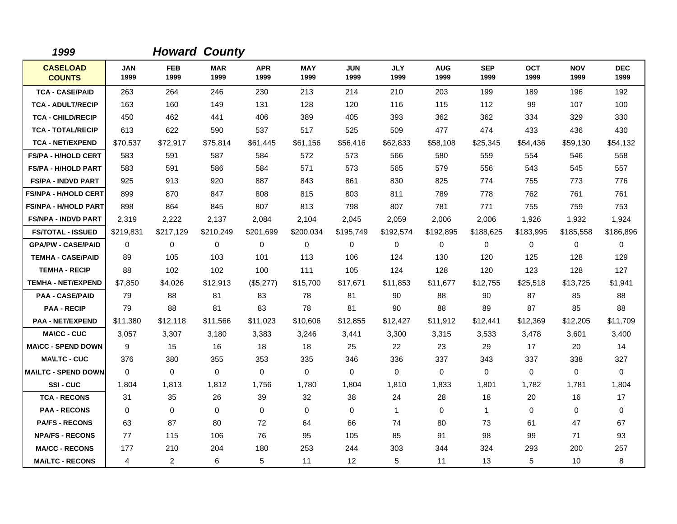| 1999                             |                    |                    | <b>Howard County</b> |                    |                    |                    |                    |                    |                    |                    |                    |                    |
|----------------------------------|--------------------|--------------------|----------------------|--------------------|--------------------|--------------------|--------------------|--------------------|--------------------|--------------------|--------------------|--------------------|
| <b>CASELOAD</b><br><b>COUNTS</b> | <b>JAN</b><br>1999 | <b>FEB</b><br>1999 | <b>MAR</b><br>1999   | <b>APR</b><br>1999 | <b>MAY</b><br>1999 | <b>JUN</b><br>1999 | <b>JLY</b><br>1999 | <b>AUG</b><br>1999 | <b>SEP</b><br>1999 | <b>OCT</b><br>1999 | <b>NOV</b><br>1999 | <b>DEC</b><br>1999 |
| <b>TCA - CASE/PAID</b>           | 263                | 264                | 246                  | 230                | 213                | 214                | 210                | 203                | 199                | 189                | 196                | 192                |
| <b>TCA - ADULT/RECIP</b>         | 163                | 160                | 149                  | 131                | 128                | 120                | 116                | 115                | 112                | 99                 | 107                | 100                |
| <b>TCA - CHILD/RECIP</b>         | 450                | 462                | 441                  | 406                | 389                | 405                | 393                | 362                | 362                | 334                | 329                | 330                |
| <b>TCA - TOTAL/RECIP</b>         | 613                | 622                | 590                  | 537                | 517                | 525                | 509                | 477                | 474                | 433                | 436                | 430                |
| <b>TCA - NET/EXPEND</b>          | \$70,537           | \$72,917           | \$75,814             | \$61,445           | \$61,156           | \$56,416           | \$62,833           | \$58,108           | \$25,345           | \$54,436           | \$59,130           | \$54,132           |
| <b>FS/PA - H/HOLD CERT</b>       | 583                | 591                | 587                  | 584                | 572                | 573                | 566                | 580                | 559                | 554                | 546                | 558                |
| <b>FS/PA - H/HOLD PART</b>       | 583                | 591                | 586                  | 584                | 571                | 573                | 565                | 579                | 556                | 543                | 545                | 557                |
| <b>FS/PA - INDVD PART</b>        | 925                | 913                | 920                  | 887                | 843                | 861                | 830                | 825                | 774                | 755                | 773                | 776                |
| <b>FS/NPA - H/HOLD CERT</b>      | 899                | 870                | 847                  | 808                | 815                | 803                | 811                | 789                | 778                | 762                | 761                | 761                |
| <b>FS/NPA - H/HOLD PART</b>      | 898                | 864                | 845                  | 807                | 813                | 798                | 807                | 781                | 771                | 755                | 759                | 753                |
| <b>FS/NPA - INDVD PART</b>       | 2,319              | 2,222              | 2,137                | 2,084              | 2,104              | 2,045              | 2,059              | 2,006              | 2,006              | 1,926              | 1,932              | 1,924              |
| <b>FS/TOTAL - ISSUED</b>         | \$219,831          | \$217,129          | \$210,249            | \$201,699          | \$200,034          | \$195,749          | \$192,574          | \$192,895          | \$188,625          | \$183,995          | \$185,558          | \$186,896          |
| <b>GPA/PW - CASE/PAID</b>        | 0                  | 0                  | 0                    | 0                  | 0                  | 0                  | 0                  | 0                  | 0                  | 0                  | 0                  | 0                  |
| <b>TEMHA - CASE/PAID</b>         | 89                 | 105                | 103                  | 101                | 113                | 106                | 124                | 130                | 120                | 125                | 128                | 129                |
| <b>TEMHA - RECIP</b>             | 88                 | 102                | 102                  | 100                | 111                | 105                | 124                | 128                | 120                | 123                | 128                | 127                |
| <b>TEMHA - NET/EXPEND</b>        | \$7,850            | \$4,026            | \$12,913             | (\$5,277)          | \$15,700           | \$17,671           | \$11,853           | \$11,677           | \$12,755           | \$25,518           | \$13,725           | \$1,941            |
| <b>PAA - CASE/PAID</b>           | 79                 | 88                 | 81                   | 83                 | 78                 | 81                 | 90                 | 88                 | 90                 | 87                 | 85                 | 88                 |
| <b>PAA - RECIP</b>               | 79                 | 88                 | 81                   | 83                 | 78                 | 81                 | 90                 | 88                 | 89                 | 87                 | 85                 | 88                 |
| <b>PAA - NET/EXPEND</b>          | \$11,380           | \$12,118           | \$11,566             | \$11,023           | \$10,606           | \$12,855           | \$12,427           | \$11,912           | \$12,441           | \$12,369           | \$12,205           | \$11,709           |
| <b>MA\CC - CUC</b>               | 3.057              | 3,307              | 3,180                | 3,383              | 3,246              | 3,441              | 3,300              | 3,315              | 3,533              | 3,478              | 3,601              | 3,400              |
| <b>MA\CC - SPEND DOWN</b>        | 9                  | 15                 | 16                   | 18                 | 18                 | 25                 | 22                 | 23                 | 29                 | 17                 | 20                 | 14                 |
| <b>MA\LTC - CUC</b>              | 376                | 380                | 355                  | 353                | 335                | 346                | 336                | 337                | 343                | 337                | 338                | 327                |
| <b>MAILTC - SPEND DOWN</b>       | $\Omega$           | $\Omega$           | $\mathbf 0$          | $\Omega$           | $\Omega$           | $\Omega$           | $\Omega$           | 0                  | $\Omega$           | $\Omega$           | $\mathbf 0$        | $\Omega$           |
| SSI-CUC                          | 1,804              | 1,813              | 1,812                | 1,756              | 1,780              | 1,804              | 1,810              | 1,833              | 1,801              | 1,782              | 1,781              | 1,804              |
| <b>TCA - RECONS</b>              | 31                 | 35                 | 26                   | 39                 | 32                 | 38                 | 24                 | 28                 | 18                 | 20                 | 16                 | 17                 |
| <b>PAA - RECONS</b>              | $\mathbf 0$        | 0                  | $\mathbf 0$          | $\mathbf 0$        | 0                  | 0                  | $\mathbf{1}$       | 0                  | $\mathbf{1}$       | $\mathbf 0$        | 0                  | 0                  |
| <b>PA/FS - RECONS</b>            | 63                 | 87                 | 80                   | 72                 | 64                 | 66                 | 74                 | 80                 | 73                 | 61                 | 47                 | 67                 |
| <b>NPA/FS - RECONS</b>           | 77                 | 115                | 106                  | 76                 | 95                 | 105                | 85                 | 91                 | 98                 | 99                 | 71                 | 93                 |
| <b>MA/CC - RECONS</b>            | 177                | 210                | 204                  | 180                | 253                | 244                | 303                | 344                | 324                | 293                | 200                | 257                |
| <b>MA/LTC - RECONS</b>           | 4                  | $\overline{2}$     | 6                    | 5                  | 11                 | $12 \overline{ }$  | 5                  | 11                 | 13                 | 5                  | 10                 | 8                  |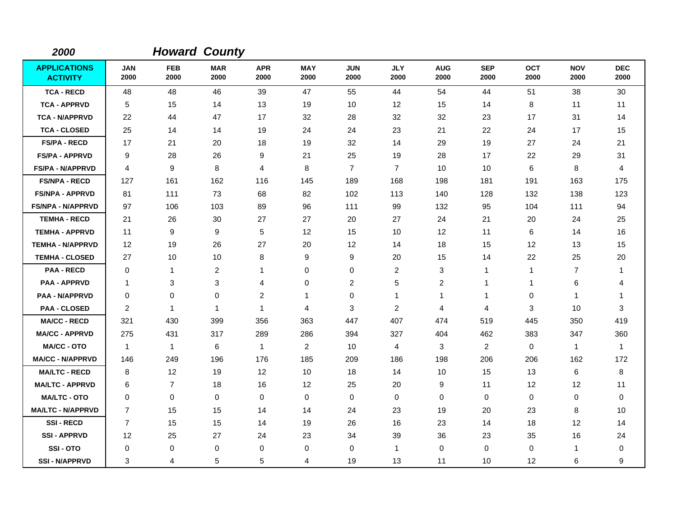| 2000                                   |                    |                    | <b>Howard County</b> |                    |                    |                    |                    |                    |                    |              |                    |                    |
|----------------------------------------|--------------------|--------------------|----------------------|--------------------|--------------------|--------------------|--------------------|--------------------|--------------------|--------------|--------------------|--------------------|
| <b>APPLICATIONS</b><br><b>ACTIVITY</b> | <b>JAN</b><br>2000 | <b>FEB</b><br>2000 | <b>MAR</b><br>2000   | <b>APR</b><br>2000 | <b>MAY</b><br>2000 | <b>JUN</b><br>2000 | <b>JLY</b><br>2000 | <b>AUG</b><br>2000 | <b>SEP</b><br>2000 | OCT<br>2000  | <b>NOV</b><br>2000 | <b>DEC</b><br>2000 |
| <b>TCA - RECD</b>                      | 48                 | 48                 | 46                   | 39                 | 47                 | 55                 | 44                 | 54                 | 44                 | 51           | 38                 | 30                 |
| <b>TCA - APPRVD</b>                    | 5                  | 15                 | 14                   | 13                 | 19                 | 10                 | 12                 | 15                 | 14                 | 8            | 11                 | 11                 |
| <b>TCA - N/APPRVD</b>                  | 22                 | 44                 | 47                   | 17                 | 32                 | 28                 | 32                 | 32                 | 23                 | 17           | 31                 | 14                 |
| <b>TCA - CLOSED</b>                    | 25                 | 14                 | 14                   | 19                 | 24                 | 24                 | 23                 | 21                 | 22                 | 24           | 17                 | 15                 |
| <b>FS/PA - RECD</b>                    | 17                 | 21                 | 20                   | 18                 | 19                 | 32                 | 14                 | 29                 | 19                 | 27           | 24                 | 21                 |
| <b>FS/PA - APPRVD</b>                  | 9                  | 28                 | 26                   | 9                  | 21                 | 25                 | 19                 | 28                 | 17                 | 22           | 29                 | 31                 |
| <b>FS/PA - N/APPRVD</b>                | 4                  | 9                  | 8                    | 4                  | 8                  | $\overline{7}$     | $\overline{7}$     | 10                 | 10                 | 6            | 8                  | 4                  |
| <b>FS/NPA - RECD</b>                   | 127                | 161                | 162                  | 116                | 145                | 189                | 168                | 198                | 181                | 191          | 163                | 175                |
| <b>FS/NPA - APPRVD</b>                 | 81                 | 111                | 73                   | 68                 | 82                 | 102                | 113                | 140                | 128                | 132          | 138                | 123                |
| <b>FS/NPA - N/APPRVD</b>               | 97                 | 106                | 103                  | 89                 | 96                 | 111                | 99                 | 132                | 95                 | 104          | 111                | 94                 |
| <b>TEMHA - RECD</b>                    | 21                 | 26                 | 30                   | 27                 | 27                 | 20                 | 27                 | 24                 | 21                 | 20           | 24                 | 25                 |
| <b>TEMHA - APPRVD</b>                  | 11                 | 9                  | 9                    | 5                  | 12                 | 15                 | 10                 | 12                 | 11                 | 6            | 14                 | 16                 |
| <b>TEMHA - N/APPRVD</b>                | 12                 | 19                 | 26                   | 27                 | 20                 | 12                 | 14                 | 18                 | 15                 | 12           | 13                 | 15                 |
| <b>TEMHA - CLOSED</b>                  | 27                 | 10                 | 10                   | 8                  | 9                  | 9                  | 20                 | 15                 | 14                 | 22           | 25                 | 20                 |
| <b>PAA - RECD</b>                      | 0                  | $\mathbf{1}$       | $\overline{c}$       | 1                  | 0                  | 0                  | $\overline{c}$     | 3                  | 1                  | $\mathbf{1}$ | $\overline{7}$     | 1                  |
| <b>PAA - APPRVD</b>                    | -1                 | 3                  | 3                    | 4                  | $\mathbf 0$        | $\overline{c}$     | 5                  | $\overline{c}$     | $\overline{1}$     | $\mathbf{1}$ | 6                  | 4                  |
| <b>PAA - N/APPRVD</b>                  | $\mathbf 0$        | 0                  | 0                    | $\overline{c}$     | $\mathbf{1}$       | $\mathbf 0$        | $\mathbf{1}$       | 1                  | 1                  | 0            | $\mathbf{1}$       | 1                  |
| <b>PAA - CLOSED</b>                    | $\overline{2}$     | $\mathbf{1}$       | $\overline{1}$       | $\mathbf{1}$       | 4                  | 3                  | $\overline{c}$     | 4                  | $\overline{4}$     | 3            | 10                 | 3                  |
| <b>MA/CC - RECD</b>                    | 321                | 430                | 399                  | 356                | 363                | 447                | 407                | 474                | 519                | 445          | 350                | 419                |
| <b>MA/CC - APPRVD</b>                  | 275                | 431                | 317                  | 289                | 286                | 394                | 327                | 404                | 462                | 383          | 347                | 360                |
| <b>MA/CC - OTO</b>                     | $\overline{1}$     | $\mathbf{1}$       | 6                    | $\mathbf{1}$       | 2                  | 10                 | $\overline{4}$     | 3                  | 2                  | 0            | $\mathbf{1}$       | $\overline{1}$     |
| <b>MA/CC - N/APPRVD</b>                | 146                | 249                | 196                  | 176                | 185                | 209                | 186                | 198                | 206                | 206          | 162                | 172                |
| <b>MA/LTC - RECD</b>                   | 8                  | 12                 | 19                   | 12                 | 10                 | 18                 | 14                 | 10                 | 15                 | 13           | 6                  | 8                  |
| <b>MA/LTC - APPRVD</b>                 | 6                  | $\overline{7}$     | 18                   | 16                 | 12                 | 25                 | 20                 | 9                  | 11                 | 12           | 12                 | 11                 |
| <b>MA/LTC - OTO</b>                    | 0                  | 0                  | 0                    | 0                  | 0                  | $\mathbf 0$        | 0                  | 0                  | 0                  | 0            | 0                  | 0                  |
| <b>MA/LTC - N/APPRVD</b>               | $\overline{7}$     | 15                 | 15                   | 14                 | 14                 | 24                 | 23                 | 19                 | 20                 | 23           | 8                  | 10                 |
| <b>SSI-RECD</b>                        | $\overline{7}$     | 15                 | 15                   | 14                 | 19                 | 26                 | 16                 | 23                 | 14                 | 18           | 12                 | 14                 |
| <b>SSI-APPRVD</b>                      | 12                 | 25                 | 27                   | 24                 | 23                 | 34                 | 39                 | 36                 | 23                 | 35           | 16                 | 24                 |
| SSI-OTO                                | $\Omega$           | 0                  | 0                    | 0                  | 0                  | 0                  | 1                  | 0                  | 0                  | 0            | $\mathbf{1}$       | 0                  |
| <b>SSI-N/APPRVD</b>                    | 3                  | 4                  | 5                    | 5                  | 4                  | 19                 | 13                 | 11                 | 10                 | 12           | 6                  | 9                  |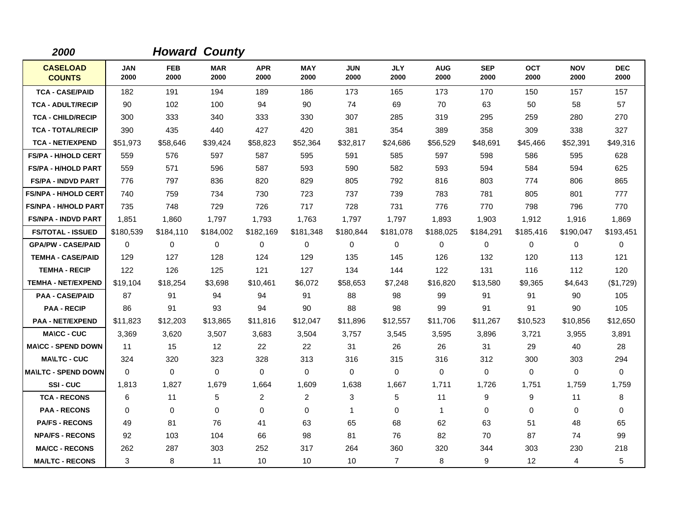| 2000                             |                    |                    | <b>Howard County</b> |                    |                    |                    |                    |                    |                    |                    |                    |                    |
|----------------------------------|--------------------|--------------------|----------------------|--------------------|--------------------|--------------------|--------------------|--------------------|--------------------|--------------------|--------------------|--------------------|
| <b>CASELOAD</b><br><b>COUNTS</b> | <b>JAN</b><br>2000 | <b>FEB</b><br>2000 | <b>MAR</b><br>2000   | <b>APR</b><br>2000 | <b>MAY</b><br>2000 | <b>JUN</b><br>2000 | <b>JLY</b><br>2000 | <b>AUG</b><br>2000 | <b>SEP</b><br>2000 | <b>OCT</b><br>2000 | <b>NOV</b><br>2000 | <b>DEC</b><br>2000 |
| <b>TCA - CASE/PAID</b>           | 182                | 191                | 194                  | 189                | 186                | 173                | 165                | 173                | 170                | 150                | 157                | 157                |
| <b>TCA - ADULT/RECIP</b>         | 90                 | 102                | 100                  | 94                 | 90                 | 74                 | 69                 | 70                 | 63                 | 50                 | 58                 | 57                 |
| <b>TCA - CHILD/RECIP</b>         | 300                | 333                | 340                  | 333                | 330                | 307                | 285                | 319                | 295                | 259                | 280                | 270                |
| <b>TCA - TOTAL/RECIP</b>         | 390                | 435                | 440                  | 427                | 420                | 381                | 354                | 389                | 358                | 309                | 338                | 327                |
| <b>TCA - NET/EXPEND</b>          | \$51,973           | \$58,646           | \$39,424             | \$58,823           | \$52,364           | \$32,817           | \$24,686           | \$56,529           | \$48,691           | \$45,466           | \$52,391           | \$49,316           |
| <b>FS/PA - H/HOLD CERT</b>       | 559                | 576                | 597                  | 587                | 595                | 591                | 585                | 597                | 598                | 586                | 595                | 628                |
| <b>FS/PA - H/HOLD PART</b>       | 559                | 571                | 596                  | 587                | 593                | 590                | 582                | 593                | 594                | 584                | 594                | 625                |
| <b>FS/PA - INDVD PART</b>        | 776                | 797                | 836                  | 820                | 829                | 805                | 792                | 816                | 803                | 774                | 806                | 865                |
| <b>FS/NPA - H/HOLD CERT</b>      | 740                | 759                | 734                  | 730                | 723                | 737                | 739                | 783                | 781                | 805                | 801                | 777                |
| <b>FS/NPA - H/HOLD PART</b>      | 735                | 748                | 729                  | 726                | 717                | 728                | 731                | 776                | 770                | 798                | 796                | 770                |
| <b>FS/NPA - INDVD PART</b>       | 1,851              | 1,860              | 1,797                | 1,793              | 1,763              | 1,797              | 1,797              | 1,893              | 1,903              | 1,912              | 1,916              | 1,869              |
| <b>FS/TOTAL - ISSUED</b>         | \$180,539          | \$184,110          | \$184,002            | \$182,169          | \$181,348          | \$180,844          | \$181,078          | \$188,025          | \$184,291          | \$185,416          | \$190,047          | \$193,451          |
| <b>GPA/PW - CASE/PAID</b>        | $\mathbf 0$        | 0                  | 0                    | 0                  | 0                  | 0                  | 0                  | 0                  | 0                  | 0                  | $\mathbf 0$        | 0                  |
| <b>TEMHA - CASE/PAID</b>         | 129                | 127                | 128                  | 124                | 129                | 135                | 145                | 126                | 132                | 120                | 113                | 121                |
| <b>TEMHA - RECIP</b>             | 122                | 126                | 125                  | 121                | 127                | 134                | 144                | 122                | 131                | 116                | 112                | 120                |
| <b>TEMHA - NET/EXPEND</b>        | \$19,104           | \$18,254           | \$3,698              | \$10,461           | \$6,072            | \$58,653           | \$7,248            | \$16,820           | \$13,580           | \$9,365            | \$4,643            | (\$1,729)          |
| <b>PAA - CASE/PAID</b>           | 87                 | 91                 | 94                   | 94                 | 91                 | 88                 | 98                 | 99                 | 91                 | 91                 | 90                 | 105                |
| <b>PAA - RECIP</b>               | 86                 | 91                 | 93                   | 94                 | 90                 | 88                 | 98                 | 99                 | 91                 | 91                 | 90                 | 105                |
| <b>PAA - NET/EXPEND</b>          | \$11,823           | \$12,203           | \$13,865             | \$11,816           | \$12,047           | \$11,896           | \$12,557           | \$11,706           | \$11,267           | \$10,523           | \$10,856           | \$12,650           |
| <b>MA\CC - CUC</b>               | 3,369              | 3,620              | 3,507                | 3,683              | 3,504              | 3,757              | 3,545              | 3,595              | 3,896              | 3,721              | 3,955              | 3,891              |
| <b>MA\CC - SPEND DOWN</b>        | 11                 | 15                 | 12                   | 22                 | 22                 | 31                 | 26                 | 26                 | 31                 | 29                 | 40                 | 28                 |
| <b>MA\LTC - CUC</b>              | 324                | 320                | 323                  | 328                | 313                | 316                | 315                | 316                | 312                | 300                | 303                | 294                |
| <b>MA\LTC - SPEND DOWN</b>       | $\Omega$           | 0                  | $\mathbf 0$          | $\mathbf 0$        | $\mathbf 0$        | $\mathbf 0$        | $\mathbf 0$        | $\mathbf 0$        | $\mathbf 0$        | 0                  | $\mathbf 0$        | 0                  |
| SSI-CUC                          | 1,813              | 1,827              | 1,679                | 1,664              | 1,609              | 1,638              | 1,667              | 1,711              | 1,726              | 1,751              | 1,759              | 1,759              |
| <b>TCA - RECONS</b>              | 6                  | 11                 | 5                    | $\overline{2}$     | 2                  | 3                  | 5                  | 11                 | 9                  | 9                  | 11                 | 8                  |
| <b>PAA - RECONS</b>              | $\Omega$           | 0                  | $\Omega$             | 0                  | 0                  | $\mathbf{1}$       | 0                  | $\mathbf{1}$       | $\mathbf 0$        | 0                  | 0                  | 0                  |
| <b>PA/FS - RECONS</b>            | 49                 | 81                 | 76                   | 41                 | 63                 | 65                 | 68                 | 62                 | 63                 | 51                 | 48                 | 65                 |
| <b>NPA/FS - RECONS</b>           | 92                 | 103                | 104                  | 66                 | 98                 | 81                 | 76                 | 82                 | 70                 | 87                 | 74                 | 99                 |
| <b>MA/CC - RECONS</b>            | 262                | 287                | 303                  | 252                | 317                | 264                | 360                | 320                | 344                | 303                | 230                | 218                |
| <b>MA/LTC - RECONS</b>           | 3                  | 8                  | 11                   | 10                 | 10                 | 10                 | $\overline{7}$     | 8                  | 9                  | $12 \overline{ }$  | $\overline{4}$     | 5                  |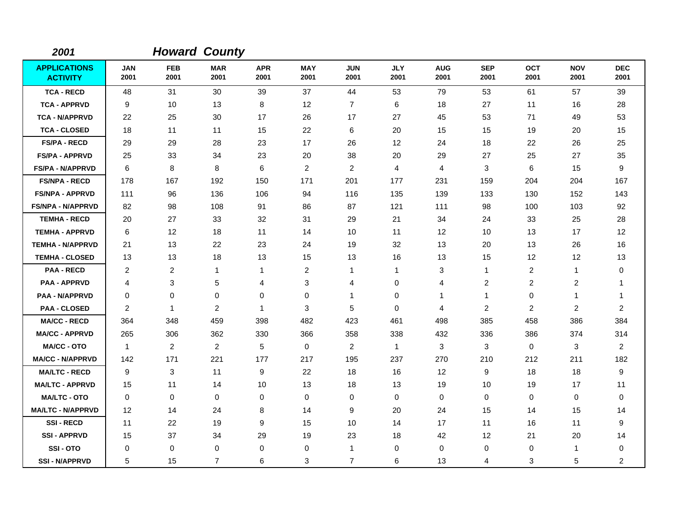| 2001                                   |                    |                    | <b>Howard County</b> |                    |                    |                    |                    |                    |                    |                         |                         |                    |
|----------------------------------------|--------------------|--------------------|----------------------|--------------------|--------------------|--------------------|--------------------|--------------------|--------------------|-------------------------|-------------------------|--------------------|
| <b>APPLICATIONS</b><br><b>ACTIVITY</b> | <b>JAN</b><br>2001 | <b>FEB</b><br>2001 | <b>MAR</b><br>2001   | <b>APR</b><br>2001 | <b>MAY</b><br>2001 | <b>JUN</b><br>2001 | <b>JLY</b><br>2001 | <b>AUG</b><br>2001 | <b>SEP</b><br>2001 | <b>OCT</b><br>2001      | <b>NOV</b><br>2001      | <b>DEC</b><br>2001 |
| <b>TCA - RECD</b>                      | 48                 | 31                 | 30                   | 39                 | 37                 | 44                 | 53                 | 79                 | 53                 | 61                      | 57                      | 39                 |
| <b>TCA - APPRVD</b>                    | 9                  | 10                 | 13                   | 8                  | 12                 | $\overline{7}$     | 6                  | 18                 | 27                 | 11                      | 16                      | 28                 |
| <b>TCA - N/APPRVD</b>                  | 22                 | 25                 | 30                   | 17                 | 26                 | 17                 | 27                 | 45                 | 53                 | 71                      | 49                      | 53                 |
| <b>TCA - CLOSED</b>                    | 18                 | 11                 | 11                   | 15                 | 22                 | 6                  | 20                 | 15                 | 15                 | 19                      | 20                      | 15                 |
| <b>FS/PA - RECD</b>                    | 29                 | 29                 | 28                   | 23                 | 17                 | 26                 | 12                 | 24                 | 18                 | 22                      | 26                      | 25                 |
| <b>FS/PA - APPRVD</b>                  | 25                 | 33                 | 34                   | 23                 | 20                 | 38                 | 20                 | 29                 | 27                 | 25                      | 27                      | 35                 |
| FS/PA - N/APPRVD                       | 6                  | 8                  | 8                    | 6                  | $\overline{c}$     | $\overline{2}$     | $\overline{4}$     | 4                  | 3                  | 6                       | 15                      | 9                  |
| <b>FS/NPA - RECD</b>                   | 178                | 167                | 192                  | 150                | 171                | 201                | 177                | 231                | 159                | 204                     | 204                     | 167                |
| <b>FS/NPA - APPRVD</b>                 | 111                | 96                 | 136                  | 106                | 94                 | 116                | 135                | 139                | 133                | 130                     | 152                     | 143                |
| <b>FS/NPA - N/APPRVD</b>               | 82                 | 98                 | 108                  | 91                 | 86                 | 87                 | 121                | 111                | 98                 | 100                     | 103                     | 92                 |
| <b>TEMHA - RECD</b>                    | 20                 | 27                 | 33                   | 32                 | 31                 | 29                 | 21                 | 34                 | 24                 | 33                      | 25                      | 28                 |
| <b>TEMHA - APPRVD</b>                  | 6                  | 12                 | 18                   | 11                 | 14                 | 10                 | 11                 | 12                 | 10                 | 13                      | 17                      | 12                 |
| <b>TEMHA - N/APPRVD</b>                | 21                 | 13                 | 22                   | 23                 | 24                 | 19                 | 32                 | 13                 | 20                 | 13                      | 26                      | 16                 |
| <b>TEMHA - CLOSED</b>                  | 13                 | 13                 | 18                   | 13                 | 15                 | 13                 | 16                 | 13                 | 15                 | 12                      | 12                      | 13                 |
| <b>PAA - RECD</b>                      | 2                  | $\overline{c}$     | $\mathbf{1}$         | 1                  | $\overline{c}$     | 1                  | $\mathbf{1}$       | 3                  | 1                  | $\overline{\mathbf{c}}$ | 1                       | 0                  |
| <b>PAA - APPRVD</b>                    | 4                  | 3                  | $\sqrt{5}$           | 4                  | $\sqrt{3}$         | 4                  | $\mathbf 0$        | 4                  | $\overline{c}$     | $\overline{c}$          | $\overline{c}$          | -1                 |
| <b>PAA - N/APPRVD</b>                  | 0                  | 0                  | 0                    | 0                  | $\mathbf 0$        | 1                  | 0                  | $\mathbf{1}$       | $\mathbf{1}$       | $\mathbf 0$             | 1                       | -1                 |
| <b>PAA - CLOSED</b>                    | $\overline{c}$     | 1                  | $\overline{c}$       | 1                  | 3                  | 5                  | $\Omega$           | 4                  | $\overline{c}$     | $\overline{c}$          | $\overline{\mathbf{c}}$ | $\overline{2}$     |
| <b>MA/CC - RECD</b>                    | 364                | 348                | 459                  | 398                | 482                | 423                | 461                | 498                | 385                | 458                     | 386                     | 384                |
| <b>MA/CC - APPRVD</b>                  | 265                | 306                | 362                  | 330                | 366                | 358                | 338                | 432                | 336                | 386                     | 374                     | 314                |
| <b>MA/CC - OTO</b>                     | $\mathbf{1}$       | 2                  | 2                    | 5                  | $\mathbf 0$        | $\overline{2}$     | $\mathbf{1}$       | 3                  | 3                  | $\mathbf 0$             | 3                       | 2                  |
| <b>MA/CC - N/APPRVD</b>                | 142                | 171                | 221                  | 177                | 217                | 195                | 237                | 270                | 210                | 212                     | 211                     | 182                |
| <b>MA/LTC - RECD</b>                   | 9                  | 3                  | 11                   | 9                  | 22                 | 18                 | 16                 | 12                 | 9                  | 18                      | 18                      | 9                  |
| <b>MA/LTC - APPRVD</b>                 | 15                 | 11                 | 14                   | 10                 | 13                 | 18                 | 13                 | 19                 | 10                 | 19                      | 17                      | 11                 |
| <b>MA/LTC - OTO</b>                    | $\mathbf 0$        | 0                  | 0                    | 0                  | 0                  | 0                  | 0                  | 0                  | $\mathbf 0$        | 0                       | 0                       | 0                  |
| <b>MA/LTC - N/APPRVD</b>               | 12                 | 14                 | 24                   | 8                  | 14                 | 9                  | 20                 | 24                 | 15                 | 14                      | 15                      | 14                 |
| <b>SSI-RECD</b>                        | 11                 | 22                 | 19                   | 9                  | 15                 | 10                 | 14                 | 17                 | 11                 | 16                      | 11                      | 9                  |
| <b>SSI - APPRVD</b>                    | 15                 | 37                 | 34                   | 29                 | 19                 | 23                 | 18                 | 42                 | 12                 | 21                      | 20                      | 14                 |
| SSI-OTO                                | $\Omega$           | 0                  | $\mathbf 0$          | 0                  | 0                  | 1                  | 0                  | 0                  | $\mathbf 0$        | 0                       | $\mathbf{1}$            | 0                  |
| <b>SSI-N/APPRVD</b>                    | 5                  | 15                 | $\overline{7}$       | 6                  | 3                  | $\overline{7}$     | 6                  | 13                 | 4                  | 3                       | 5                       | $\overline{c}$     |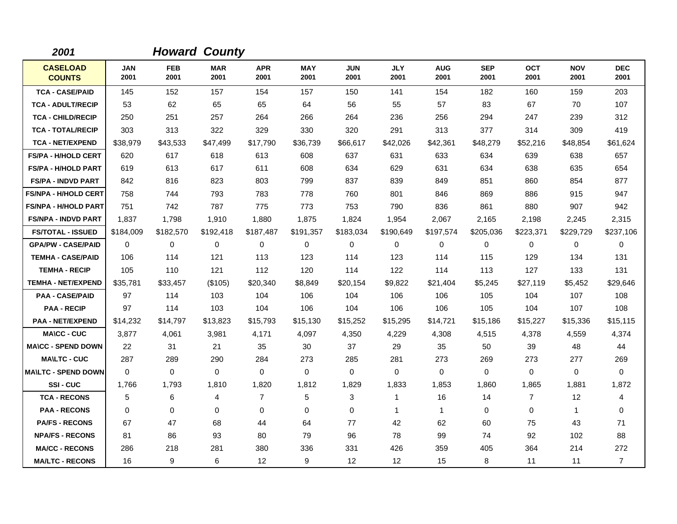| 2001                             |                    |                    | <b>Howard County</b> |                    |                    |                    |                    |                    |                    |                    |                    |                    |
|----------------------------------|--------------------|--------------------|----------------------|--------------------|--------------------|--------------------|--------------------|--------------------|--------------------|--------------------|--------------------|--------------------|
| <b>CASELOAD</b><br><b>COUNTS</b> | <b>JAN</b><br>2001 | <b>FEB</b><br>2001 | <b>MAR</b><br>2001   | <b>APR</b><br>2001 | <b>MAY</b><br>2001 | <b>JUN</b><br>2001 | <b>JLY</b><br>2001 | <b>AUG</b><br>2001 | <b>SEP</b><br>2001 | <b>OCT</b><br>2001 | <b>NOV</b><br>2001 | <b>DEC</b><br>2001 |
| <b>TCA - CASE/PAID</b>           | 145                | 152                | 157                  | 154                | 157                | 150                | 141                | 154                | 182                | 160                | 159                | 203                |
| <b>TCA - ADULT/RECIP</b>         | 53                 | 62                 | 65                   | 65                 | 64                 | 56                 | 55                 | 57                 | 83                 | 67                 | 70                 | 107                |
| <b>TCA - CHILD/RECIP</b>         | 250                | 251                | 257                  | 264                | 266                | 264                | 236                | 256                | 294                | 247                | 239                | 312                |
| <b>TCA - TOTAL/RECIP</b>         | 303                | 313                | 322                  | 329                | 330                | 320                | 291                | 313                | 377                | 314                | 309                | 419                |
| <b>TCA - NET/EXPEND</b>          | \$38,979           | \$43,533           | \$47,499             | \$17,790           | \$36,739           | \$66,617           | \$42,026           | \$42,361           | \$48,279           | \$52,216           | \$48,854           | \$61,624           |
| <b>FS/PA - H/HOLD CERT</b>       | 620                | 617                | 618                  | 613                | 608                | 637                | 631                | 633                | 634                | 639                | 638                | 657                |
| <b>FS/PA - H/HOLD PART</b>       | 619                | 613                | 617                  | 611                | 608                | 634                | 629                | 631                | 634                | 638                | 635                | 654                |
| <b>FS/PA - INDVD PART</b>        | 842                | 816                | 823                  | 803                | 799                | 837                | 839                | 849                | 851                | 860                | 854                | 877                |
| <b>FS/NPA - H/HOLD CERT</b>      | 758                | 744                | 793                  | 783                | 778                | 760                | 801                | 846                | 869                | 886                | 915                | 947                |
| <b>FS/NPA - H/HOLD PART</b>      | 751                | 742                | 787                  | 775                | 773                | 753                | 790                | 836                | 861                | 880                | 907                | 942                |
| <b>FS/NPA - INDVD PART</b>       | 1,837              | 1,798              | 1,910                | 1,880              | 1,875              | 1,824              | 1,954              | 2,067              | 2,165              | 2,198              | 2,245              | 2,315              |
| <b>FS/TOTAL - ISSUED</b>         | \$184,009          | \$182,570          | \$192,418            | \$187,487          | \$191,357          | \$183,034          | \$190,649          | \$197,574          | \$205,036          | \$223,371          | \$229,729          | \$237,106          |
| <b>GPA/PW - CASE/PAID</b>        | 0                  | 0                  | $\mathbf 0$          | 0                  | 0                  | 0                  | 0                  | 0                  | 0                  | 0                  | 0                  | 0                  |
| <b>TEMHA - CASE/PAID</b>         | 106                | 114                | 121                  | 113                | 123                | 114                | 123                | 114                | 115                | 129                | 134                | 131                |
| <b>TEMHA - RECIP</b>             | 105                | 110                | 121                  | 112                | 120                | 114                | 122                | 114                | 113                | 127                | 133                | 131                |
| <b>TEMHA - NET/EXPEND</b>        | \$35,781           | \$33,457           | (\$105)              | \$20,340           | \$8,849            | \$20,154           | \$9,822            | \$21,404           | \$5,245            | \$27,119           | \$5,452            | \$29,646           |
| <b>PAA - CASE/PAID</b>           | 97                 | 114                | 103                  | 104                | 106                | 104                | 106                | 106                | 105                | 104                | 107                | 108                |
| <b>PAA - RECIP</b>               | 97                 | 114                | 103                  | 104                | 106                | 104                | 106                | 106                | 105                | 104                | 107                | 108                |
| <b>PAA - NET/EXPEND</b>          | \$14,232           | \$14,797           | \$13,823             | \$15,793           | \$15,130           | \$15,252           | \$15,295           | \$14,721           | \$15,186           | \$15,227           | \$15,336           | \$15,115           |
| <b>MA\CC - CUC</b>               | 3,877              | 4,061              | 3,981                | 4,171              | 4,097              | 4,350              | 4,229              | 4,308              | 4,515              | 4,378              | 4,559              | 4,374              |
| <b>MA\CC - SPEND DOWN</b>        | 22                 | 31                 | 21                   | 35                 | 30                 | 37                 | 29                 | 35                 | 50                 | 39                 | 48                 | 44                 |
| <b>MA\LTC - CUC</b>              | 287                | 289                | 290                  | 284                | 273                | 285                | 281                | 273                | 269                | 273                | 277                | 269                |
| <b>MAILTC - SPEND DOWN</b>       | $\Omega$           | $\Omega$           | $\mathbf 0$          | $\Omega$           | $\Omega$           | 0                  | $\Omega$           | 0                  | 0                  | $\Omega$           | 0                  | $\Omega$           |
| SSI-CUC                          | 1,766              | 1,793              | 1,810                | 1,820              | 1,812              | 1,829              | 1,833              | 1,853              | 1,860              | 1,865              | 1,881              | 1,872              |
| <b>TCA - RECONS</b>              | 5                  | 6                  | $\overline{4}$       | $\overline{7}$     | 5                  | 3                  | $\mathbf{1}$       | 16                 | 14                 | $\overline{7}$     | 12                 | 4                  |
| <b>PAA - RECONS</b>              | 0                  | 0                  | $\mathbf 0$          | 0                  | $\mathbf 0$        | $\mathbf 0$        | $\mathbf{1}$       | $\mathbf{1}$       | $\mathbf 0$        | 0                  | $\mathbf{1}$       | 0                  |
| <b>PA/FS - RECONS</b>            | 67                 | 47                 | 68                   | 44                 | 64                 | 77                 | 42                 | 62                 | 60                 | 75                 | 43                 | 71                 |
| <b>NPA/FS - RECONS</b>           | 81                 | 86                 | 93                   | 80                 | 79                 | 96                 | 78                 | 99                 | 74                 | 92                 | 102                | 88                 |
| <b>MA/CC - RECONS</b>            | 286                | 218                | 281                  | 380                | 336                | 331                | 426                | 359                | 405                | 364                | 214                | 272                |
| <b>MA/LTC - RECONS</b>           | 16                 | 9                  | 6                    | 12                 | 9                  | $12 \overline{ }$  | $12 \overline{ }$  | 15                 | 8                  | 11                 | 11                 | $\overline{7}$     |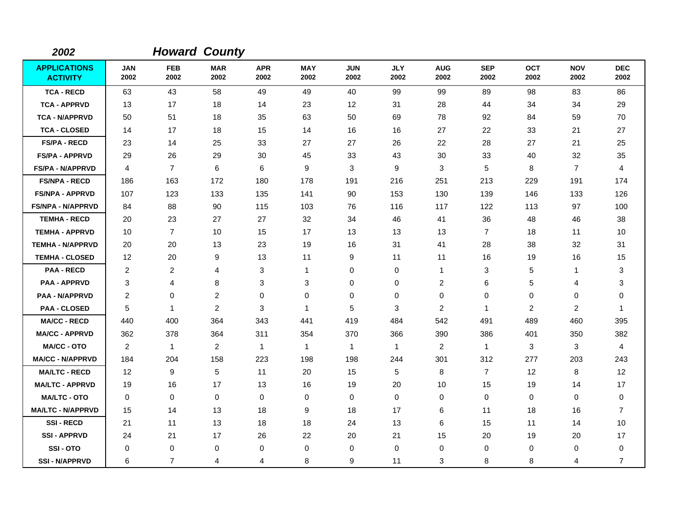| 2002                                   |                    |                    | <b>Howard County</b> |                    |                    |                    |                    |                         |                    |                    |                    |                    |
|----------------------------------------|--------------------|--------------------|----------------------|--------------------|--------------------|--------------------|--------------------|-------------------------|--------------------|--------------------|--------------------|--------------------|
| <b>APPLICATIONS</b><br><b>ACTIVITY</b> | <b>JAN</b><br>2002 | <b>FEB</b><br>2002 | <b>MAR</b><br>2002   | <b>APR</b><br>2002 | <b>MAY</b><br>2002 | <b>JUN</b><br>2002 | <b>JLY</b><br>2002 | <b>AUG</b><br>2002      | <b>SEP</b><br>2002 | <b>OCT</b><br>2002 | <b>NOV</b><br>2002 | <b>DEC</b><br>2002 |
| <b>TCA - RECD</b>                      | 63                 | 43                 | 58                   | 49                 | 49                 | 40                 | 99                 | 99                      | 89                 | 98                 | 83                 | 86                 |
| <b>TCA - APPRVD</b>                    | 13                 | 17                 | 18                   | 14                 | 23                 | 12                 | 31                 | 28                      | 44                 | 34                 | 34                 | 29                 |
| <b>TCA - N/APPRVD</b>                  | 50                 | 51                 | 18                   | 35                 | 63                 | 50                 | 69                 | 78                      | 92                 | 84                 | 59                 | 70                 |
| <b>TCA - CLOSED</b>                    | 14                 | 17                 | 18                   | 15                 | 14                 | 16                 | 16                 | 27                      | 22                 | 33                 | 21                 | 27                 |
| <b>FS/PA - RECD</b>                    | 23                 | 14                 | 25                   | 33                 | 27                 | 27                 | 26                 | 22                      | 28                 | 27                 | 21                 | 25                 |
| <b>FS/PA - APPRVD</b>                  | 29                 | 26                 | 29                   | 30                 | 45                 | 33                 | 43                 | 30                      | 33                 | 40                 | 32                 | 35                 |
| <b>FS/PA - N/APPRVD</b>                | 4                  | $\overline{7}$     | $\,6\,$              | 6                  | 9                  | 3                  | $\boldsymbol{9}$   | 3                       | 5                  | 8                  | $\overline{7}$     | 4                  |
| <b>FS/NPA - RECD</b>                   | 186                | 163                | 172                  | 180                | 178                | 191                | 216                | 251                     | 213                | 229                | 191                | 174                |
| <b>FS/NPA - APPRVD</b>                 | 107                | 123                | 133                  | 135                | 141                | 90                 | 153                | 130                     | 139                | 146                | 133                | 126                |
| FS/NPA - N/APPRVD                      | 84                 | 88                 | 90                   | 115                | 103                | 76                 | 116                | 117                     | 122                | 113                | 97                 | 100                |
| <b>TEMHA - RECD</b>                    | 20                 | 23                 | 27                   | 27                 | 32                 | 34                 | 46                 | 41                      | 36                 | 48                 | 46                 | 38                 |
| <b>TEMHA - APPRVD</b>                  | 10                 | $\overline{7}$     | 10                   | 15                 | 17                 | 13                 | 13                 | 13                      | $\overline{7}$     | 18                 | 11                 | 10                 |
| <b>TEMHA - N/APPRVD</b>                | 20                 | 20                 | 13                   | 23                 | 19                 | 16                 | 31                 | 41                      | 28                 | 38                 | 32                 | 31                 |
| <b>TEMHA - CLOSED</b>                  | 12                 | 20                 | 9                    | 13                 | 11                 | 9                  | 11                 | 11                      | 16                 | 19                 | 16                 | 15                 |
| <b>PAA - RECD</b>                      | $\overline{c}$     | 2                  | 4                    | 3                  | $\mathbf{1}$       | 0                  | $\mathbf 0$        | $\mathbf{1}$            | 3                  | 5                  | 1                  | 3                  |
| <b>PAA - APPRVD</b>                    | 3                  | 4                  | 8                    | 3                  | 3                  | 0                  | $\mathbf 0$        | $\overline{\mathbf{c}}$ | 6                  | 5                  | 4                  | 3                  |
| <b>PAA - N/APPRVD</b>                  | 2                  | 0                  | 2                    | $\mathbf 0$        | $\mathbf 0$        | 0                  | 0                  | 0                       | 0                  | 0                  | 0                  | 0                  |
| <b>PAA - CLOSED</b>                    | 5                  | $\mathbf{1}$       | 2                    | 3                  | $\mathbf{1}$       | 5                  | 3                  | 2                       | $\mathbf{1}$       | $\overline{c}$     | 2                  | -1                 |
| <b>MA/CC - RECD</b>                    | 440                | 400                | 364                  | 343                | 441                | 419                | 484                | 542                     | 491                | 489                | 460                | 395                |
| <b>MA/CC - APPRVD</b>                  | 362                | 378                | 364                  | 311                | 354                | 370                | 366                | 390                     | 386                | 401                | 350                | 382                |
| <b>MA/CC - OTO</b>                     | $\overline{2}$     | $\mathbf{1}$       | 2                    | $\mathbf{1}$       | $\mathbf{1}$       | $\mathbf{1}$       | $\mathbf{1}$       | $\overline{c}$          | $\mathbf{1}$       | 3                  | 3                  | 4                  |
| <b>MA/CC - N/APPRVD</b>                | 184                | 204                | 158                  | 223                | 198                | 198                | 244                | 301                     | 312                | 277                | 203                | 243                |
| <b>MA/LTC - RECD</b>                   | 12                 | 9                  | 5                    | 11                 | 20                 | 15                 | 5                  | 8                       | $\overline{7}$     | 12                 | 8                  | 12                 |
| <b>MA/LTC - APPRVD</b>                 | 19                 | 16                 | 17                   | 13                 | 16                 | 19                 | 20                 | 10                      | 15                 | 19                 | 14                 | 17                 |
| <b>MA/LTC - OTO</b>                    | 0                  | 0                  | 0                    | 0                  | 0                  | 0                  | 0                  | 0                       | $\mathbf 0$        | 0                  | 0                  | 0                  |
| <b>MA/LTC - N/APPRVD</b>               | 15                 | 14                 | 13                   | 18                 | 9                  | 18                 | 17                 | 6                       | 11                 | 18                 | 16                 | $\overline{7}$     |
| <b>SSI-RECD</b>                        | 21                 | 11                 | 13                   | 18                 | 18                 | 24                 | 13                 | 6                       | 15                 | 11                 | 14                 | 10                 |
| <b>SSI-APPRVD</b>                      | 24                 | 21                 | 17                   | 26                 | 22                 | 20                 | 21                 | 15                      | 20                 | 19                 | 20                 | 17                 |
| SSI-OTO                                | 0                  | 0                  | 0                    | $\mathbf 0$        | 0                  | 0                  | 0                  | 0                       | $\mathbf 0$        | 0                  | 0                  | 0                  |
| <b>SSI-N/APPRVD</b>                    | 6                  | $\overline{7}$     | 4                    | 4                  | 8                  | 9                  | 11                 | 3                       | 8                  | 8                  | 4                  | $\overline{7}$     |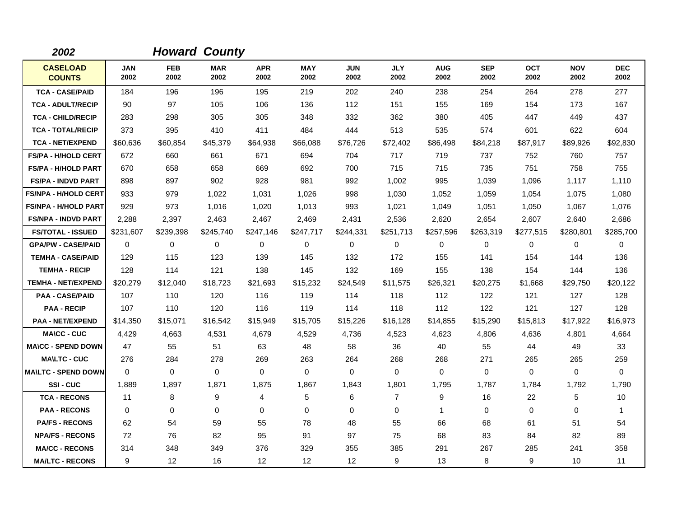| 2002                             |             |                    | <b>Howard County</b> |                    |                    |                    |                    |                    |                    |                    |                    |                    |
|----------------------------------|-------------|--------------------|----------------------|--------------------|--------------------|--------------------|--------------------|--------------------|--------------------|--------------------|--------------------|--------------------|
| <b>CASELOAD</b><br><b>COUNTS</b> | JAN<br>2002 | <b>FEB</b><br>2002 | <b>MAR</b><br>2002   | <b>APR</b><br>2002 | <b>MAY</b><br>2002 | <b>JUN</b><br>2002 | <b>JLY</b><br>2002 | <b>AUG</b><br>2002 | <b>SEP</b><br>2002 | <b>OCT</b><br>2002 | <b>NOV</b><br>2002 | <b>DEC</b><br>2002 |
| <b>TCA - CASE/PAID</b>           | 184         | 196                | 196                  | 195                | 219                | 202                | 240                | 238                | 254                | 264                | 278                | 277                |
| <b>TCA - ADULT/RECIP</b>         | 90          | 97                 | 105                  | 106                | 136                | 112                | 151                | 155                | 169                | 154                | 173                | 167                |
| <b>TCA - CHILD/RECIP</b>         | 283         | 298                | 305                  | 305                | 348                | 332                | 362                | 380                | 405                | 447                | 449                | 437                |
| <b>TCA - TOTAL/RECIP</b>         | 373         | 395                | 410                  | 411                | 484                | 444                | 513                | 535                | 574                | 601                | 622                | 604                |
| <b>TCA - NET/EXPEND</b>          | \$60,636    | \$60,854           | \$45,379             | \$64,938           | \$66,088           | \$76,726           | \$72,402           | \$86,498           | \$84,218           | \$87,917           | \$89,926           | \$92,830           |
| <b>FS/PA - H/HOLD CERT</b>       | 672         | 660                | 661                  | 671                | 694                | 704                | 717                | 719                | 737                | 752                | 760                | 757                |
| <b>FS/PA - H/HOLD PART</b>       | 670         | 658                | 658                  | 669                | 692                | 700                | 715                | 715                | 735                | 751                | 758                | 755                |
| <b>FS/PA - INDVD PART</b>        | 898         | 897                | 902                  | 928                | 981                | 992                | 1,002              | 995                | 1,039              | 1,096              | 1,117              | 1,110              |
| <b>FS/NPA - H/HOLD CERT</b>      | 933         | 979                | 1,022                | 1,031              | 1,026              | 998                | 1,030              | 1,052              | 1,059              | 1,054              | 1,075              | 1,080              |
| <b>FS/NPA - H/HOLD PART</b>      | 929         | 973                | 1,016                | 1,020              | 1,013              | 993                | 1,021              | 1,049              | 1,051              | 1,050              | 1,067              | 1,076              |
| <b>FS/NPA - INDVD PART</b>       | 2,288       | 2,397              | 2,463                | 2,467              | 2,469              | 2,431              | 2,536              | 2,620              | 2,654              | 2,607              | 2,640              | 2,686              |
| <b>FS/TOTAL - ISSUED</b>         | \$231,607   | \$239,398          | \$245,740            | \$247,146          | \$247,717          | \$244,331          | \$251,713          | \$257,596          | \$263,319          | \$277,515          | \$280,801          | \$285,700          |
| <b>GPA/PW - CASE/PAID</b>        | 0           | $\mathbf 0$        | $\mathbf 0$          | $\mathbf 0$        | $\mathbf 0$        | $\mathbf 0$        | $\mathbf 0$        | 0                  | $\mathbf 0$        | 0                  | $\mathbf 0$        | 0                  |
| <b>TEMHA - CASE/PAID</b>         | 129         | 115                | 123                  | 139                | 145                | 132                | 172                | 155                | 141                | 154                | 144                | 136                |
| <b>TEMHA - RECIP</b>             | 128         | 114                | 121                  | 138                | 145                | 132                | 169                | 155                | 138                | 154                | 144                | 136                |
| <b>TEMHA - NET/EXPEND</b>        | \$20,279    | \$12,040           | \$18,723             | \$21,693           | \$15,232           | \$24,549           | \$11,575           | \$26,321           | \$20,275           | \$1,668            | \$29,750           | \$20,122           |
| <b>PAA - CASE/PAID</b>           | 107         | 110                | 120                  | 116                | 119                | 114                | 118                | 112                | 122                | 121                | 127                | 128                |
| <b>PAA - RECIP</b>               | 107         | 110                | 120                  | 116                | 119                | 114                | 118                | 112                | 122                | 121                | 127                | 128                |
| <b>PAA - NET/EXPEND</b>          | \$14,350    | \$15,071           | \$16,542             | \$15,949           | \$15,705           | \$15,226           | \$16,128           | \$14,855           | \$15,290           | \$15,813           | \$17,922           | \$16,973           |
| <b>MA\CC - CUC</b>               | 4,429       | 4,663              | 4,531                | 4,679              | 4,529              | 4,736              | 4,523              | 4,623              | 4,806              | 4,636              | 4,801              | 4,664              |
| <b>MA\CC - SPEND DOWN</b>        | 47          | 55                 | 51                   | 63                 | 48                 | 58                 | 36                 | 40                 | 55                 | 44                 | 49                 | 33                 |
| <b>MA\LTC - CUC</b>              | 276         | 284                | 278                  | 269                | 263                | 264                | 268                | 268                | 271                | 265                | 265                | 259                |
| <b>MA\LTC - SPEND DOWN</b>       | 0           | 0                  | $\mathbf 0$          | 0                  | $\mathbf 0$        | 0                  | $\mathbf 0$        | 0                  | 0                  | 0                  | 0                  | 0                  |
| SSI-CUC                          | 1,889       | 1,897              | 1,871                | 1,875              | 1,867              | 1,843              | 1,801              | 1,795              | 1,787              | 1,784              | 1,792              | 1,790              |
| <b>TCA - RECONS</b>              | 11          | 8                  | 9                    | 4                  | 5                  | 6                  | $\overline{7}$     | 9                  | 16                 | 22                 | 5                  | 10                 |
| <b>PAA - RECONS</b>              | 0           | 0                  | $\mathbf 0$          | 0                  | $\mathbf 0$        | 0                  | $\mathbf 0$        | 1                  | $\mathbf 0$        | 0                  | 0                  | $\mathbf{1}$       |
| <b>PA/FS - RECONS</b>            | 62          | 54                 | 59                   | 55                 | 78                 | 48                 | 55                 | 66                 | 68                 | 61                 | 51                 | 54                 |
| <b>NPA/FS - RECONS</b>           | 72          | 76                 | 82                   | 95                 | 91                 | 97                 | 75                 | 68                 | 83                 | 84                 | 82                 | 89                 |
| <b>MA/CC - RECONS</b>            | 314         | 348                | 349                  | 376                | 329                | 355                | 385                | 291                | 267                | 285                | 241                | 358                |
| <b>MA/LTC - RECONS</b>           | 9           | $12 \overline{ }$  | 16                   | $12 \overline{ }$  | 12                 | 12                 | 9                  | 13                 | 8                  | 9                  | 10                 | 11                 |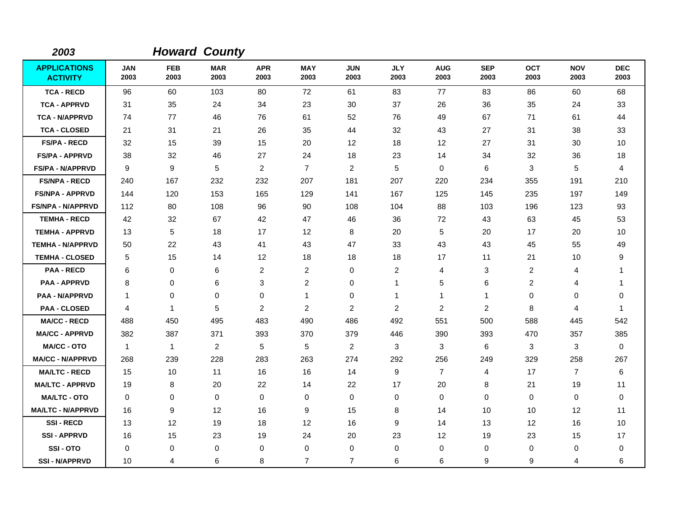| 2003                                   |                    |                    | <b>Howard County</b> |                    |                    |                    |                    |                    |                    |                    |                    |                    |
|----------------------------------------|--------------------|--------------------|----------------------|--------------------|--------------------|--------------------|--------------------|--------------------|--------------------|--------------------|--------------------|--------------------|
| <b>APPLICATIONS</b><br><b>ACTIVITY</b> | <b>JAN</b><br>2003 | <b>FEB</b><br>2003 | <b>MAR</b><br>2003   | <b>APR</b><br>2003 | <b>MAY</b><br>2003 | <b>JUN</b><br>2003 | <b>JLY</b><br>2003 | <b>AUG</b><br>2003 | <b>SEP</b><br>2003 | <b>OCT</b><br>2003 | <b>NOV</b><br>2003 | <b>DEC</b><br>2003 |
| <b>TCA - RECD</b>                      | 96                 | 60                 | 103                  | 80                 | 72                 | 61                 | 83                 | 77                 | 83                 | 86                 | 60                 | 68                 |
| <b>TCA - APPRVD</b>                    | 31                 | 35                 | 24                   | 34                 | 23                 | 30                 | 37                 | 26                 | 36                 | 35                 | 24                 | 33                 |
| <b>TCA - N/APPRVD</b>                  | 74                 | 77                 | 46                   | 76                 | 61                 | 52                 | 76                 | 49                 | 67                 | 71                 | 61                 | 44                 |
| <b>TCA - CLOSED</b>                    | 21                 | 31                 | 21                   | 26                 | 35                 | 44                 | 32                 | 43                 | 27                 | 31                 | 38                 | 33                 |
| <b>FS/PA - RECD</b>                    | 32                 | 15                 | 39                   | 15                 | 20                 | 12                 | 18                 | 12                 | 27                 | 31                 | 30                 | 10                 |
| <b>FS/PA - APPRVD</b>                  | 38                 | 32                 | 46                   | 27                 | 24                 | 18                 | 23                 | 14                 | 34                 | 32                 | 36                 | 18                 |
| <b>FS/PA - N/APPRVD</b>                | 9                  | 9                  | $\sqrt{5}$           | $\overline{2}$     | $\overline{7}$     | $\overline{2}$     | 5                  | 0                  | 6                  | 3                  | 5                  | 4                  |
| <b>FS/NPA - RECD</b>                   | 240                | 167                | 232                  | 232                | 207                | 181                | 207                | 220                | 234                | 355                | 191                | 210                |
| <b>FS/NPA - APPRVD</b>                 | 144                | 120                | 153                  | 165                | 129                | 141                | 167                | 125                | 145                | 235                | 197                | 149                |
| FS/NPA - N/APPRVD                      | 112                | 80                 | 108                  | 96                 | 90                 | 108                | 104                | 88                 | 103                | 196                | 123                | 93                 |
| <b>TEMHA - RECD</b>                    | 42                 | 32                 | 67                   | 42                 | 47                 | 46                 | 36                 | 72                 | 43                 | 63                 | 45                 | 53                 |
| <b>TEMHA - APPRVD</b>                  | 13                 | 5                  | 18                   | 17                 | 12                 | 8                  | 20                 | 5                  | 20                 | 17                 | 20                 | 10                 |
| <b>TEMHA - N/APPRVD</b>                | 50                 | 22                 | 43                   | 41                 | 43                 | 47                 | 33                 | 43                 | 43                 | 45                 | 55                 | 49                 |
| <b>TEMHA - CLOSED</b>                  | 5                  | 15                 | 14                   | 12                 | 18                 | 18                 | 18                 | 17                 | 11                 | 21                 | 10                 | 9                  |
| <b>PAA - RECD</b>                      | 6                  | 0                  | 6                    | $\overline{c}$     | $\overline{c}$     | 0                  | $\overline{c}$     | 4                  | 3                  | $\overline{c}$     | 4                  | 1                  |
| <b>PAA - APPRVD</b>                    | 8                  | 0                  | 6                    | 3                  | $\overline{c}$     | 0                  | 1                  | 5                  | 6                  | $\overline{c}$     | 4                  | -1                 |
| <b>PAA - N/APPRVD</b>                  | $\overline{1}$     | 0                  | 0                    | $\mathbf 0$        | $\mathbf{1}$       | 0                  | $\mathbf{1}$       | $\mathbf{1}$       | $\mathbf 1$        | 0                  | 0                  | 0                  |
| <b>PAA - CLOSED</b>                    | $\overline{4}$     | $\mathbf{1}$       | 5                    | 2                  | $\overline{2}$     | $\overline{c}$     | 2                  | $\overline{c}$     | $\overline{c}$     | 8                  | 4                  | -1                 |
| <b>MA/CC - RECD</b>                    | 488                | 450                | 495                  | 483                | 490                | 486                | 492                | 551                | 500                | 588                | 445                | 542                |
| <b>MA/CC - APPRVD</b>                  | 382                | 387                | 371                  | 393                | 370                | 379                | 446                | 390                | 393                | 470                | 357                | 385                |
| <b>MA/CC - OTO</b>                     | $\mathbf{1}$       | $\mathbf{1}$       | $\overline{2}$       | 5                  | 5                  | $\overline{2}$     | 3                  | 3                  | 6                  | 3                  | 3                  | $\mathbf 0$        |
| <b>MA/CC - N/APPRVD</b>                | 268                | 239                | 228                  | 283                | 263                | 274                | 292                | 256                | 249                | 329                | 258                | 267                |
| <b>MA/LTC - RECD</b>                   | 15                 | 10                 | 11                   | 16                 | 16                 | 14                 | 9                  | $\overline{7}$     | 4                  | 17                 | $\overline{7}$     | 6                  |
| <b>MA/LTC - APPRVD</b>                 | 19                 | 8                  | 20                   | 22                 | 14                 | 22                 | 17                 | 20                 | 8                  | 21                 | 19                 | 11                 |
| <b>MA/LTC - OTO</b>                    | 0                  | 0                  | 0                    | 0                  | 0                  | 0                  | $\mathbf 0$        | 0                  | $\mathbf 0$        | 0                  | 0                  | 0                  |
| <b>MA/LTC - N/APPRVD</b>               | 16                 | 9                  | 12                   | 16                 | 9                  | 15                 | 8                  | 14                 | 10                 | 10                 | 12                 | 11                 |
| <b>SSI-RECD</b>                        | 13                 | 12                 | 19                   | 18                 | 12                 | 16                 | 9                  | 14                 | 13                 | $12 \overline{ }$  | 16                 | 10                 |
| <b>SSI-APPRVD</b>                      | 16                 | 15                 | 23                   | 19                 | 24                 | 20                 | 23                 | 12                 | 19                 | 23                 | 15                 | 17                 |
| SSI-OTO                                | 0                  | 0                  | 0                    | 0                  | 0                  | 0                  | $\mathbf 0$        | 0                  | $\mathbf 0$        | 0                  | 0                  | 0                  |
| <b>SSI-N/APPRVD</b>                    | 10                 | 4                  | 6                    | 8                  | $\overline{7}$     | $\overline{7}$     | 6                  | 6                  | 9                  | 9                  | 4                  | 6                  |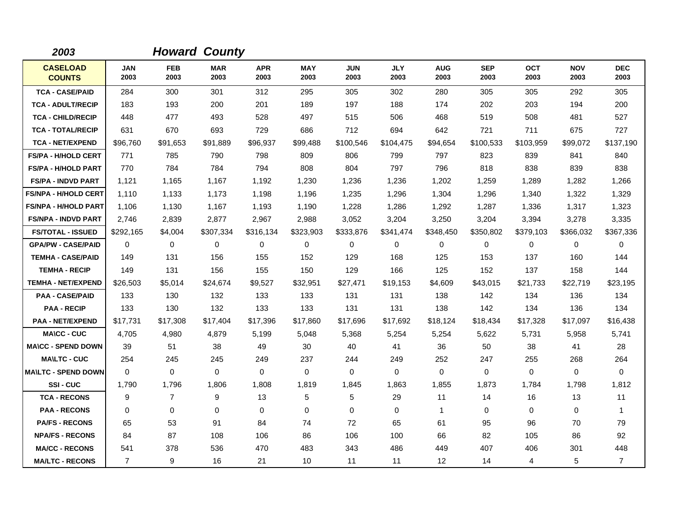| 2003                             |                    |                    | <b>Howard County</b> |                    |                    |                    |                    |                    |                    |                    |                    |                    |
|----------------------------------|--------------------|--------------------|----------------------|--------------------|--------------------|--------------------|--------------------|--------------------|--------------------|--------------------|--------------------|--------------------|
| <b>CASELOAD</b><br><b>COUNTS</b> | <b>JAN</b><br>2003 | <b>FEB</b><br>2003 | <b>MAR</b><br>2003   | <b>APR</b><br>2003 | <b>MAY</b><br>2003 | <b>JUN</b><br>2003 | <b>JLY</b><br>2003 | <b>AUG</b><br>2003 | <b>SEP</b><br>2003 | <b>OCT</b><br>2003 | <b>NOV</b><br>2003 | <b>DEC</b><br>2003 |
| <b>TCA - CASE/PAID</b>           | 284                | 300                | 301                  | 312                | 295                | 305                | 302                | 280                | 305                | 305                | 292                | 305                |
| <b>TCA - ADULT/RECIP</b>         | 183                | 193                | 200                  | 201                | 189                | 197                | 188                | 174                | 202                | 203                | 194                | 200                |
| <b>TCA - CHILD/RECIP</b>         | 448                | 477                | 493                  | 528                | 497                | 515                | 506                | 468                | 519                | 508                | 481                | 527                |
| <b>TCA - TOTAL/RECIP</b>         | 631                | 670                | 693                  | 729                | 686                | 712                | 694                | 642                | 721                | 711                | 675                | 727                |
| <b>TCA - NET/EXPEND</b>          | \$96,760           | \$91,653           | \$91,889             | \$96,937           | \$99,488           | \$100,546          | \$104,475          | \$94,654           | \$100,533          | \$103.959          | \$99,072           | \$137,190          |
| <b>FS/PA - H/HOLD CERT</b>       | 771                | 785                | 790                  | 798                | 809                | 806                | 799                | 797                | 823                | 839                | 841                | 840                |
| <b>FS/PA - H/HOLD PART</b>       | 770                | 784                | 784                  | 794                | 808                | 804                | 797                | 796                | 818                | 838                | 839                | 838                |
| <b>FS/PA - INDVD PART</b>        | 1,121              | 1,165              | 1,167                | 1,192              | 1,230              | 1,236              | 1,236              | 1,202              | 1,259              | 1,289              | 1,282              | 1,266              |
| <b>FS/NPA - H/HOLD CERT</b>      | 1,110              | 1,133              | 1,173                | 1,198              | 1,196              | 1,235              | 1,296              | 1,304              | 1,296              | 1,340              | 1,322              | 1,329              |
| <b>FS/NPA - H/HOLD PART</b>      | 1,106              | 1,130              | 1,167                | 1,193              | 1,190              | 1,228              | 1,286              | 1,292              | 1,287              | 1,336              | 1,317              | 1,323              |
| <b>FS/NPA - INDVD PART</b>       | 2,746              | 2,839              | 2,877                | 2,967              | 2,988              | 3,052              | 3,204              | 3,250              | 3,204              | 3,394              | 3,278              | 3,335              |
| <b>FS/TOTAL - ISSUED</b>         | \$292,165          | \$4,004            | \$307,334            | \$316,134          | \$323,903          | \$333,876          | \$341,474          | \$348,450          | \$350,802          | \$379,103          | \$366,032          | \$367,336          |
| <b>GPA/PW - CASE/PAID</b>        | $\Omega$           | 0                  | $\mathbf 0$          | 0                  | 0                  | $\mathbf 0$        | $\mathbf 0$        | 0                  | $\mathbf 0$        | 0                  | $\mathbf 0$        | 0                  |
| <b>TEMHA - CASE/PAID</b>         | 149                | 131                | 156                  | 155                | 152                | 129                | 168                | 125                | 153                | 137                | 160                | 144                |
| <b>TEMHA - RECIP</b>             | 149                | 131                | 156                  | 155                | 150                | 129                | 166                | 125                | 152                | 137                | 158                | 144                |
| <b>TEMHA - NET/EXPEND</b>        | \$26,503           | \$5,014            | \$24,674             | \$9,527            | \$32,951           | \$27,471           | \$19,153           | \$4,609            | \$43,015           | \$21,733           | \$22,719           | \$23,195           |
| <b>PAA - CASE/PAID</b>           | 133                | 130                | 132                  | 133                | 133                | 131                | 131                | 138                | 142                | 134                | 136                | 134                |
| <b>PAA - RECIP</b>               | 133                | 130                | 132                  | 133                | 133                | 131                | 131                | 138                | 142                | 134                | 136                | 134                |
| <b>PAA - NET/EXPEND</b>          | \$17,731           | \$17,308           | \$17,404             | \$17,396           | \$17,860           | \$17,696           | \$17,692           | \$18,124           | \$18,434           | \$17,328           | \$17,097           | \$16,438           |
| <b>MA\CC - CUC</b>               | 4,705              | 4,980              | 4,879                | 5,199              | 5,048              | 5,368              | 5,254              | 5,254              | 5,622              | 5,731              | 5,958              | 5,741              |
| <b>MA\CC - SPEND DOWN</b>        | 39                 | 51                 | 38                   | 49                 | 30                 | 40                 | 41                 | 36                 | 50                 | 38                 | 41                 | 28                 |
| <b>MA\LTC - CUC</b>              | 254                | 245                | 245                  | 249                | 237                | 244                | 249                | 252                | 247                | 255                | 268                | 264                |
| <b>MAILTC - SPEND DOWN</b>       | $\Omega$           | 0                  | $\mathbf 0$          | 0                  | $\mathbf 0$        | $\mathbf 0$        | $\Omega$           | 0                  | 0                  | 0                  | $\mathbf 0$        | 0                  |
| SSI-CUC                          | 1,790              | 1,796              | 1,806                | 1,808              | 1,819              | 1,845              | 1,863              | 1,855              | 1,873              | 1,784              | 1,798              | 1,812              |
| <b>TCA - RECONS</b>              | 9                  | $\overline{7}$     | 9                    | 13                 | 5                  | 5                  | 29                 | 11                 | 14                 | 16                 | 13                 | 11                 |
| <b>PAA - RECONS</b>              | 0                  | $\Omega$           | $\Omega$             | $\Omega$           | $\mathbf 0$        | $\Omega$           | $\Omega$           | 1                  | $\mathbf 0$        | $\Omega$           | 0                  | 1                  |
| <b>PA/FS - RECONS</b>            | 65                 | 53                 | 91                   | 84                 | 74                 | 72                 | 65                 | 61                 | 95                 | 96                 | 70                 | 79                 |
| <b>NPA/FS - RECONS</b>           | 84                 | 87                 | 108                  | 106                | 86                 | 106                | 100                | 66                 | 82                 | 105                | 86                 | 92                 |
| <b>MA/CC - RECONS</b>            | 541                | 378                | 536                  | 470                | 483                | 343                | 486                | 449                | 407                | 406                | 301                | 448                |
| <b>MA/LTC - RECONS</b>           | $\overline{7}$     | 9                  | 16                   | 21                 | 10                 | 11                 | 11                 | 12                 | 14                 | 4                  | 5                  | $\overline{7}$     |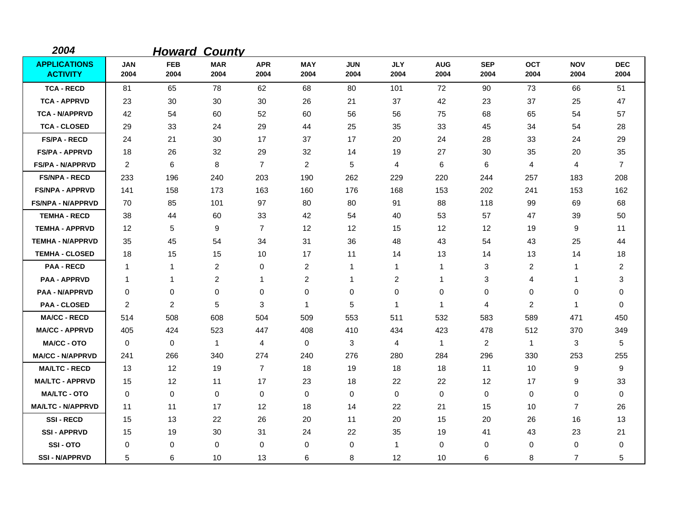| 2004                                   |                    | <b>Howard</b>      | <b>County</b>      |                    |                    |                    |                    |                    |                    |                    |                    |                    |
|----------------------------------------|--------------------|--------------------|--------------------|--------------------|--------------------|--------------------|--------------------|--------------------|--------------------|--------------------|--------------------|--------------------|
| <b>APPLICATIONS</b><br><b>ACTIVITY</b> | <b>JAN</b><br>2004 | <b>FEB</b><br>2004 | <b>MAR</b><br>2004 | <b>APR</b><br>2004 | <b>MAY</b><br>2004 | <b>JUN</b><br>2004 | <b>JLY</b><br>2004 | <b>AUG</b><br>2004 | <b>SEP</b><br>2004 | <b>OCT</b><br>2004 | <b>NOV</b><br>2004 | <b>DEC</b><br>2004 |
| <b>TCA - RECD</b>                      | 81                 | 65                 | 78                 | 62                 | 68                 | 80                 | 101                | 72                 | 90                 | 73                 | 66                 | 51                 |
| <b>TCA - APPRVD</b>                    | 23                 | 30                 | 30                 | 30                 | 26                 | 21                 | 37                 | 42                 | 23                 | 37                 | 25                 | 47                 |
| <b>TCA - N/APPRVD</b>                  | 42                 | 54                 | 60                 | 52                 | 60                 | 56                 | 56                 | 75                 | 68                 | 65                 | 54                 | 57                 |
| <b>TCA - CLOSED</b>                    | 29                 | 33                 | 24                 | 29                 | 44                 | 25                 | 35                 | 33                 | 45                 | 34                 | 54                 | 28                 |
| <b>FS/PA - RECD</b>                    | 24                 | 21                 | 30                 | 17                 | 37                 | 17                 | 20                 | 24                 | 28                 | 33                 | 24                 | 29                 |
| <b>FS/PA - APPRVD</b>                  | 18                 | 26                 | 32                 | 29                 | 32                 | 14                 | 19                 | 27                 | 30                 | 35                 | 20                 | 35                 |
| <b>FS/PA - N/APPRVD</b>                | 2                  | 6                  | 8                  | $\overline{7}$     | $\overline{2}$     | 5                  | 4                  | 6                  | 6                  | 4                  | 4                  | $\overline{7}$     |
| <b>FS/NPA - RECD</b>                   | 233                | 196                | 240                | 203                | 190                | 262                | 229                | 220                | 244                | 257                | 183                | 208                |
| <b>FS/NPA - APPRVD</b>                 | 141                | 158                | 173                | 163                | 160                | 176                | 168                | 153                | 202                | 241                | 153                | 162                |
| <b>FS/NPA - N/APPRVD</b>               | 70                 | 85                 | 101                | 97                 | 80                 | 80                 | 91                 | 88                 | 118                | 99                 | 69                 | 68                 |
| <b>TEMHA - RECD</b>                    | 38                 | 44                 | 60                 | 33                 | 42                 | 54                 | 40                 | 53                 | 57                 | 47                 | 39                 | 50                 |
| <b>TEMHA - APPRVD</b>                  | $12 \overline{ }$  | 5                  | 9                  | $\overline{7}$     | 12                 | 12                 | 15                 | 12                 | 12                 | 19                 | 9                  | 11                 |
| <b>TEMHA - N/APPRVD</b>                | 35                 | 45                 | 54                 | 34                 | 31                 | 36                 | 48                 | 43                 | 54                 | 43                 | 25                 | 44                 |
| <b>TEMHA - CLOSED</b>                  | 18                 | 15                 | 15                 | 10                 | 17                 | 11                 | 14                 | 13                 | 14                 | 13                 | 14                 | 18                 |
| <b>PAA - RECD</b>                      | -1                 | 1                  | 2                  | 0                  | $\overline{2}$     | 1                  | $\mathbf{1}$       | 1                  | 3                  | 2                  | 1                  | $\overline{2}$     |
| <b>PAA - APPRVD</b>                    | $\overline{1}$     | 1                  | $\overline{2}$     | 1                  | $\overline{2}$     | 1                  | $\overline{c}$     | $\mathbf{1}$       | 3                  | 4                  | 1                  | 3                  |
| <b>PAA - N/APPRVD</b>                  | 0                  | 0                  | $\mathbf 0$        | 0                  | $\,0\,$            | 0                  | 0                  | 0                  | 0                  | 0                  | 0                  | 0                  |
| <b>PAA - CLOSED</b>                    | $\overline{2}$     | $\overline{c}$     | 5                  | 3                  | $\mathbf{1}$       | 5                  | $\mathbf{1}$       | $\mathbf{1}$       | 4                  | $\overline{c}$     | $\mathbf{1}$       | 0                  |
| <b>MA/CC - RECD</b>                    | 514                | 508                | 608                | 504                | 509                | 553                | 511                | 532                | 583                | 589                | 471                | 450                |
| <b>MA/CC - APPRVD</b>                  | 405                | 424                | 523                | 447                | 408                | 410                | 434                | 423                | 478                | 512                | 370                | 349                |
| <b>MA/CC - OTO</b>                     | $\mathbf 0$        | 0                  | $\mathbf{1}$       | 4                  | 0                  | 3                  | 4                  | $\mathbf{1}$       | 2                  | $\mathbf{1}$       | 3                  | 5                  |
| <b>MA/CC - N/APPRVD</b>                | 241                | 266                | 340                | 274                | 240                | 276                | 280                | 284                | 296                | 330                | 253                | 255                |
| <b>MA/LTC - RECD</b>                   | 13                 | 12 <sup>2</sup>    | 19                 | $\overline{7}$     | 18                 | 19                 | 18                 | 18                 | 11                 | 10                 | 9                  | 9                  |
| <b>MA/LTC - APPRVD</b>                 | 15                 | 12                 | 11                 | 17                 | 23                 | 18                 | 22                 | 22                 | 12                 | 17                 | 9                  | 33                 |
| <b>MA/LTC - OTO</b>                    | $\mathbf 0$        | 0                  | 0                  | 0                  | 0                  | 0                  | 0                  | 0                  | $\mathbf 0$        | 0                  | 0                  | 0                  |
| <b>MA/LTC - N/APPRVD</b>               | 11                 | 11                 | 17                 | 12                 | 18                 | 14                 | 22                 | 21                 | 15                 | 10                 | $\overline{7}$     | 26                 |
| <b>SSI-RECD</b>                        | 15                 | 13                 | 22                 | 26                 | 20                 | 11                 | 20                 | 15                 | 20                 | 26                 | 16                 | 13                 |
| <b>SSI-APPRVD</b>                      | 15                 | 19                 | 30                 | 31                 | 24                 | 22                 | 35                 | 19                 | 41                 | 43                 | 23                 | 21                 |
| SSI-OTO                                | 0                  | 0                  | $\mathbf 0$        | 0                  | 0                  | 0                  | $\mathbf{1}$       | 0                  | $\Omega$           | 0                  | 0                  | 0                  |
| <b>SSI-N/APPRVD</b>                    | 5                  | 6                  | 10                 | 13                 | 6                  | 8                  | 12                 | 10                 | 6                  | 8                  | $\overline{7}$     | 5                  |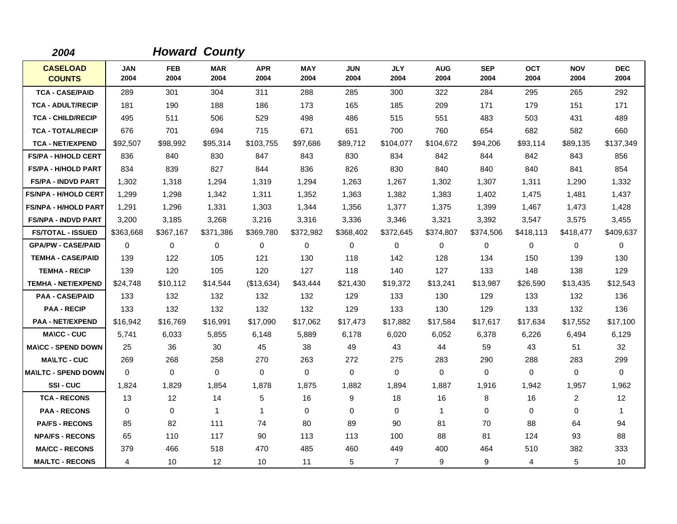| 2004                             |                    |                    | <b>Howard County</b> |                    |                    |                    |                    |                    |                    |                    |                    |                    |
|----------------------------------|--------------------|--------------------|----------------------|--------------------|--------------------|--------------------|--------------------|--------------------|--------------------|--------------------|--------------------|--------------------|
| <b>CASELOAD</b><br><b>COUNTS</b> | <b>JAN</b><br>2004 | <b>FEB</b><br>2004 | <b>MAR</b><br>2004   | <b>APR</b><br>2004 | <b>MAY</b><br>2004 | <b>JUN</b><br>2004 | <b>JLY</b><br>2004 | <b>AUG</b><br>2004 | <b>SEP</b><br>2004 | <b>OCT</b><br>2004 | <b>NOV</b><br>2004 | <b>DEC</b><br>2004 |
| <b>TCA - CASE/PAID</b>           | 289                | 301                | 304                  | 311                | 288                | 285                | 300                | 322                | 284                | 295                | 265                | 292                |
| <b>TCA - ADULT/RECIP</b>         | 181                | 190                | 188                  | 186                | 173                | 165                | 185                | 209                | 171                | 179                | 151                | 171                |
| <b>TCA - CHILD/RECIP</b>         | 495                | 511                | 506                  | 529                | 498                | 486                | 515                | 551                | 483                | 503                | 431                | 489                |
| <b>TCA - TOTAL/RECIP</b>         | 676                | 701                | 694                  | 715                | 671                | 651                | 700                | 760                | 654                | 682                | 582                | 660                |
| <b>TCA - NET/EXPEND</b>          | \$92,507           | \$98,992           | \$95,314             | \$103,755          | \$97,686           | \$89,712           | \$104,077          | \$104,672          | \$94,206           | \$93,114           | \$89,135           | \$137,349          |
| <b>FS/PA - H/HOLD CERT</b>       | 836                | 840                | 830                  | 847                | 843                | 830                | 834                | 842                | 844                | 842                | 843                | 856                |
| <b>FS/PA - H/HOLD PART</b>       | 834                | 839                | 827                  | 844                | 836                | 826                | 830                | 840                | 840                | 840                | 841                | 854                |
| <b>FS/PA - INDVD PART</b>        | 1,302              | 1,318              | 1,294                | 1,319              | 1,294              | 1,263              | 1,267              | 1,302              | 1,307              | 1,311              | 1,290              | 1,332              |
| <b>FS/NPA - H/HOLD CERT</b>      | 1,299              | 1,298              | 1,342                | 1,311              | 1,352              | 1,363              | 1,382              | 1,383              | 1,402              | 1,475              | 1,481              | 1,437              |
| <b>FS/NPA - H/HOLD PART</b>      | 1,291              | 1.296              | 1,331                | 1,303              | 1.344              | 1,356              | 1,377              | 1,375              | 1,399              | 1.467              | 1,473              | 1,428              |
| <b>FS/NPA - INDVD PART</b>       | 3,200              | 3,185              | 3,268                | 3,216              | 3,316              | 3,336              | 3,346              | 3,321              | 3,392              | 3,547              | 3,575              | 3,455              |
| <b>FS/TOTAL - ISSUED</b>         | \$363,668          | \$367,167          | \$371,386            | \$369,780          | \$372,982          | \$368,402          | \$372,645          | \$374,807          | \$374,506          | \$418,113          | \$418,477          | \$409,637          |
| <b>GPA/PW - CASE/PAID</b>        | 0                  | 0                  | 0                    | $\mathbf 0$        | 0                  | 0                  | 0                  | 0                  | 0                  | 0                  | $\mathbf 0$        | 0                  |
| <b>TEMHA - CASE/PAID</b>         | 139                | 122                | 105                  | 121                | 130                | 118                | 142                | 128                | 134                | 150                | 139                | 130                |
| <b>TEMHA - RECIP</b>             | 139                | 120                | 105                  | 120                | 127                | 118                | 140                | 127                | 133                | 148                | 138                | 129                |
| <b>TEMHA - NET/EXPEND</b>        | \$24,748           | \$10,112           | \$14,544             | (\$13,634)         | \$43,444           | \$21,430           | \$19,372           | \$13,241           | \$13,987           | \$26,590           | \$13,435           | \$12,543           |
| <b>PAA - CASE/PAID</b>           | 133                | 132                | 132                  | 132                | 132                | 129                | 133                | 130                | 129                | 133                | 132                | 136                |
| <b>PAA - RECIP</b>               | 133                | 132                | 132                  | 132                | 132                | 129                | 133                | 130                | 129                | 133                | 132                | 136                |
| <b>PAA - NET/EXPEND</b>          | \$16,942           | \$16,769           | \$16,991             | \$17,090           | \$17,062           | \$17,473           | \$17,882           | \$17,584           | \$17,617           | \$17,634           | \$17,552           | \$17,100           |
| <b>MA\CC - CUC</b>               | 5,741              | 6,033              | 5,855                | 6.148              | 5,889              | 6,178              | 6,020              | 6,052              | 6,378              | 6,226              | 6,494              | 6,129              |
| <b>MA\CC - SPEND DOWN</b>        | 25                 | 36                 | 30                   | 45                 | 38                 | 49                 | 43                 | 44                 | 59                 | 43                 | 51                 | 32                 |
| <b>MAILTC - CUC</b>              | 269                | 268                | 258                  | 270                | 263                | 272                | 275                | 283                | 290                | 288                | 283                | 299                |
| <b>MAILTC - SPEND DOWN</b>       | $\mathbf 0$        | $\mathbf 0$        | $\mathbf 0$          | $\mathbf 0$        | $\mathbf 0$        | 0                  | 0                  | $\mathbf 0$        | $\mathbf 0$        | 0                  | $\mathbf 0$        | $\mathbf 0$        |
| SSI-CUC                          | 1,824              | 1,829              | 1,854                | 1,878              | 1,875              | 1,882              | 1,894              | 1,887              | 1,916              | 1,942              | 1,957              | 1,962              |
| <b>TCA - RECONS</b>              | 13                 | 12                 | 14                   | 5                  | 16                 | 9                  | 18                 | 16                 | 8                  | 16                 | $\overline{2}$     | 12                 |
| <b>PAA - RECONS</b>              | $\Omega$           | 0                  | $\mathbf{1}$         | 1                  | 0                  | $\Omega$           | $\Omega$           | 1                  | $\Omega$           | $\Omega$           | $\mathbf 0$        | 1                  |
| <b>PA/FS - RECONS</b>            | 85                 | 82                 | 111                  | 74                 | 80                 | 89                 | 90                 | 81                 | 70                 | 88                 | 64                 | 94                 |
| <b>NPA/FS - RECONS</b>           | 65                 | 110                | 117                  | 90                 | 113                | 113                | 100                | 88                 | 81                 | 124                | 93                 | 88                 |
| <b>MA/CC - RECONS</b>            | 379                | 466                | 518                  | 470                | 485                | 460                | 449                | 400                | 464                | 510                | 382                | 333                |
| <b>MA/LTC - RECONS</b>           | 4                  | 10                 | 12                   | 10                 | 11                 | 5                  | $\overline{7}$     | 9                  | 9                  | 4                  | $\sqrt{5}$         | 10                 |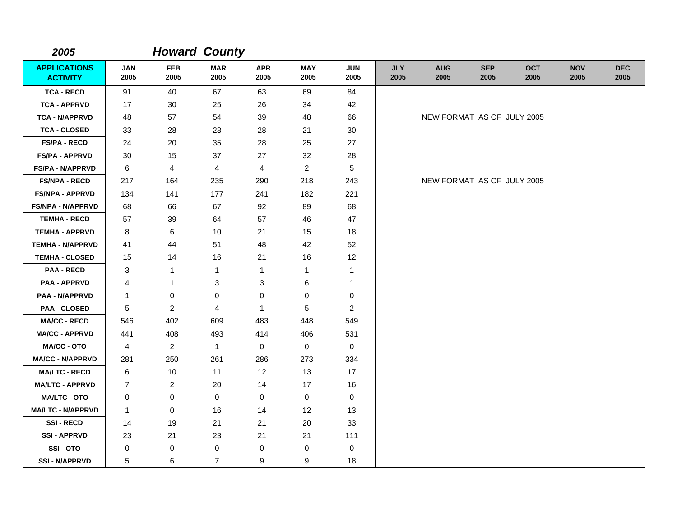| 2005                                   |                    |                    | <b>Howard County</b> |                         |                    |                    |                    |                            |                    |                    |                    |                    |
|----------------------------------------|--------------------|--------------------|----------------------|-------------------------|--------------------|--------------------|--------------------|----------------------------|--------------------|--------------------|--------------------|--------------------|
| <b>APPLICATIONS</b><br><b>ACTIVITY</b> | <b>JAN</b><br>2005 | <b>FEB</b><br>2005 | <b>MAR</b><br>2005   | <b>APR</b><br>2005      | <b>MAY</b><br>2005 | <b>JUN</b><br>2005 | <b>JLY</b><br>2005 | <b>AUG</b><br>2005         | <b>SEP</b><br>2005 | <b>OCT</b><br>2005 | <b>NOV</b><br>2005 | <b>DEC</b><br>2005 |
| <b>TCA - RECD</b>                      | 91                 | 40                 | 67                   | 63                      | 69                 | 84                 |                    |                            |                    |                    |                    |                    |
| <b>TCA - APPRVD</b>                    | 17                 | 30                 | 25                   | 26                      | 34                 | 42                 |                    |                            |                    |                    |                    |                    |
| <b>TCA - N/APPRVD</b>                  | 48                 | 57                 | 54                   | 39                      | 48                 | 66                 |                    | NEW FORMAT AS OF JULY 2005 |                    |                    |                    |                    |
| <b>TCA - CLOSED</b>                    | 33                 | 28                 | 28                   | 28                      | 21                 | 30                 |                    |                            |                    |                    |                    |                    |
| <b>FS/PA - RECD</b>                    | 24                 | 20                 | 35                   | 28                      | 25                 | 27                 |                    |                            |                    |                    |                    |                    |
| <b>FS/PA - APPRVD</b>                  | 30                 | 15                 | 37                   | 27                      | 32                 | 28                 |                    |                            |                    |                    |                    |                    |
| <b>FS/PA - N/APPRVD</b>                | 6                  | $\overline{4}$     | 4                    | $\overline{\mathbf{4}}$ | $\overline{a}$     | 5                  |                    |                            |                    |                    |                    |                    |
| <b>FS/NPA - RECD</b>                   | 217                | 164                | 235                  | 290                     | 218                | 243                |                    | NEW FORMAT AS OF JULY 2005 |                    |                    |                    |                    |
| <b>FS/NPA - APPRVD</b>                 | 134                | 141                | 177                  | 241                     | 182                | 221                |                    |                            |                    |                    |                    |                    |
| <b>FS/NPA - N/APPRVD</b>               | 68                 | 66                 | 67                   | 92                      | 89                 | 68                 |                    |                            |                    |                    |                    |                    |
| <b>TEMHA - RECD</b>                    | 57                 | 39                 | 64                   | 57                      | 46                 | 47                 |                    |                            |                    |                    |                    |                    |
| <b>TEMHA - APPRVD</b>                  | 8                  | 6                  | 10                   | 21                      | 15                 | 18                 |                    |                            |                    |                    |                    |                    |
| <b>TEMHA - N/APPRVD</b>                | 41                 | 44                 | 51                   | 48                      | 42                 | 52                 |                    |                            |                    |                    |                    |                    |
| <b>TEMHA - CLOSED</b>                  | 15                 | 14                 | 16                   | 21                      | 16                 | 12                 |                    |                            |                    |                    |                    |                    |
| <b>PAA - RECD</b>                      | 3                  | $\mathbf{1}$       | $\mathbf{1}$         | 1                       | $\mathbf{1}$       | $\mathbf{1}$       |                    |                            |                    |                    |                    |                    |
| <b>PAA - APPRVD</b>                    | 4                  | 1                  | 3                    | 3                       | 6                  | 1                  |                    |                            |                    |                    |                    |                    |
| <b>PAA - N/APPRVD</b>                  | 1                  | 0                  | 0                    | $\pmb{0}$               | 0                  | 0                  |                    |                            |                    |                    |                    |                    |
| <b>PAA - CLOSED</b>                    | 5                  | $\overline{2}$     | $\overline{4}$       | $\mathbf{1}$            | 5                  | $\overline{2}$     |                    |                            |                    |                    |                    |                    |
| <b>MA/CC - RECD</b>                    | 546                | 402                | 609                  | 483                     | 448                | 549                |                    |                            |                    |                    |                    |                    |
| <b>MA/CC - APPRVD</b>                  | 441                | 408                | 493                  | 414                     | 406                | 531                |                    |                            |                    |                    |                    |                    |
| MA/CC - OTO                            | 4                  | $\overline{2}$     | $\mathbf{1}$         | 0                       | 0                  | $\mathbf 0$        |                    |                            |                    |                    |                    |                    |
| <b>MA/CC - N/APPRVD</b>                | 281                | 250                | 261                  | 286                     | 273                | 334                |                    |                            |                    |                    |                    |                    |
| <b>MA/LTC - RECD</b>                   | 6                  | 10                 | 11                   | 12                      | 13                 | 17                 |                    |                            |                    |                    |                    |                    |
| <b>MA/LTC - APPRVD</b>                 | $\overline{7}$     | $\overline{2}$     | 20                   | 14                      | 17                 | 16                 |                    |                            |                    |                    |                    |                    |
| <b>MA/LTC - OTO</b>                    | 0                  | 0                  | $\mathbf 0$          | $\mathbf 0$             | 0                  | 0                  |                    |                            |                    |                    |                    |                    |
| <b>MA/LTC - N/APPRVD</b>               | $\mathbf{1}$       | $\mathbf 0$        | 16                   | 14                      | 12                 | 13                 |                    |                            |                    |                    |                    |                    |
| <b>SSI-RECD</b>                        | 14                 | 19                 | 21                   | 21                      | 20                 | 33                 |                    |                            |                    |                    |                    |                    |
| <b>SSI - APPRVD</b>                    | 23                 | 21                 | 23                   | 21                      | 21                 | 111                |                    |                            |                    |                    |                    |                    |
| SSI-OTO                                | 0                  | 0                  | 0                    | $\mathbf 0$             | 0                  | 0                  |                    |                            |                    |                    |                    |                    |
| <b>SSI - N/APPRVD</b>                  | 5                  | 6                  | $\overline{7}$       | 9                       | 9                  | 18                 |                    |                            |                    |                    |                    |                    |